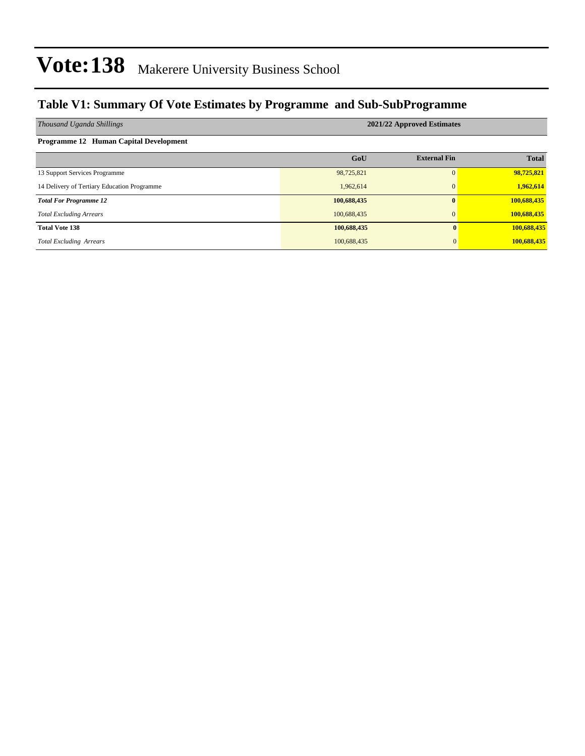### **Table V1: Summary Of Vote Estimates by Programme and Sub-SubProgramme**

| Thousand Uganda Shillings                   | 2021/22 Approved Estimates |                     |              |  |  |  |  |  |
|---------------------------------------------|----------------------------|---------------------|--------------|--|--|--|--|--|
| Programme 12 Human Capital Development      |                            |                     |              |  |  |  |  |  |
|                                             | GoU                        | <b>External Fin</b> | <b>Total</b> |  |  |  |  |  |
| 13 Support Services Programme               | 98,725,821                 | $\Omega$            | 98,725,821   |  |  |  |  |  |
| 14 Delivery of Tertiary Education Programme | 1,962,614                  | $\mathbf{0}$        | 1,962,614    |  |  |  |  |  |
| <b>Total For Programme 12</b>               | 100,688,435                | $\mathbf{0}$        | 100,688,435  |  |  |  |  |  |
| <b>Total Excluding Arrears</b>              | 100,688,435                | $\overline{0}$      | 100,688,435  |  |  |  |  |  |
| <b>Total Vote 138</b>                       | 100,688,435                | 0                   | 100,688,435  |  |  |  |  |  |
| <b>Total Excluding Arrears</b>              | 100,688,435                | $\Omega$            | 100,688,435  |  |  |  |  |  |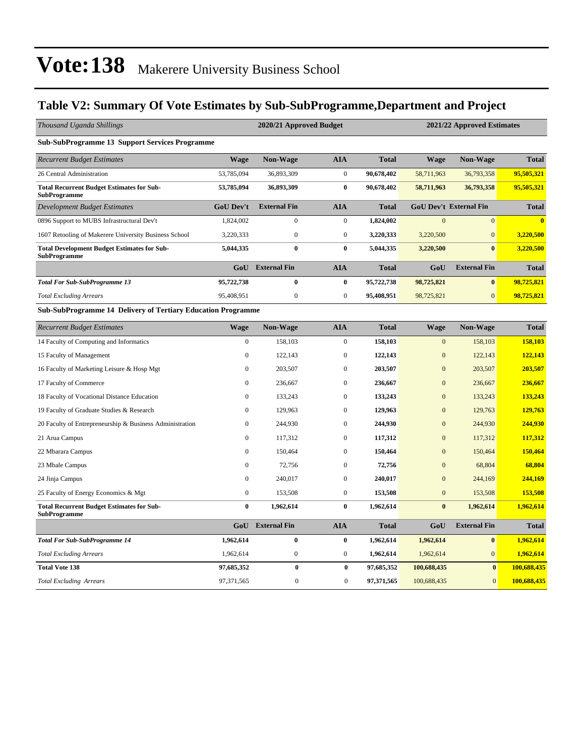### **Table V2: Summary Of Vote Estimates by Sub-SubProgramme,Department and Project**

| Thousand Uganda Shillings                                                 |                  | 2020/21 Approved Budget<br>2021/22 Approved Estimates |                  |              |                |                               |              |  |
|---------------------------------------------------------------------------|------------------|-------------------------------------------------------|------------------|--------------|----------------|-------------------------------|--------------|--|
| <b>Sub-SubProgramme 13 Support Services Programme</b>                     |                  |                                                       |                  |              |                |                               |              |  |
| <b>Recurrent Budget Estimates</b>                                         | <b>Wage</b>      | <b>Non-Wage</b>                                       | <b>AIA</b>       | <b>Total</b> | <b>Wage</b>    | <b>Non-Wage</b>               | <b>Total</b> |  |
| 26 Central Administration                                                 | 53,785,094       | 36,893,309                                            | $\boldsymbol{0}$ | 90,678,402   | 58,711,963     | 36,793,358                    | 95,505,321   |  |
| <b>Total Recurrent Budget Estimates for Sub-</b><br><b>SubProgramme</b>   | 53,785,094       | 36,893,309                                            | $\bf{0}$         | 90,678,402   | 58,711,963     | 36,793,358                    | 95,505,321   |  |
| <b>Development Budget Estimates</b>                                       | <b>GoU Dev't</b> | <b>External Fin</b>                                   | <b>AIA</b>       | <b>Total</b> |                | <b>GoU Dev't External Fin</b> | <b>Total</b> |  |
| 0896 Support to MUBS Infrastructural Dev't                                | 1,824,002        | $\boldsymbol{0}$                                      | $\boldsymbol{0}$ | 1,824,002    | $\mathbf{0}$   | $\mathbf{0}$                  | $\bf{0}$     |  |
| 1607 Retooling of Makerere University Business School                     | 3,220,333        | $\boldsymbol{0}$                                      | $\boldsymbol{0}$ | 3,220,333    | 3,220,500      | $\mathbf{0}$                  | 3,220,500    |  |
| <b>Total Development Budget Estimates for Sub-</b><br><b>SubProgramme</b> | 5,044,335        | $\bf{0}$                                              | $\bf{0}$         | 5,044,335    | 3,220,500      | $\bf{0}$                      | 3,220,500    |  |
|                                                                           | GoU              | <b>External Fin</b>                                   | <b>AIA</b>       | <b>Total</b> | GoU            | <b>External Fin</b>           | <b>Total</b> |  |
| <b>Total For Sub-SubProgramme 13</b>                                      | 95,722,738       | $\bf{0}$                                              | $\bf{0}$         | 95,722,738   | 98,725,821     | $\bf{0}$                      | 98,725,821   |  |
| <b>Total Excluding Arrears</b>                                            | 95,408,951       | $\boldsymbol{0}$                                      | $\boldsymbol{0}$ | 95,408,951   | 98,725,821     | $\mathbf{0}$                  | 98,725,821   |  |
| <b>Sub-SubProgramme 14 Delivery of Tertiary Education Programme</b>       |                  |                                                       |                  |              |                |                               |              |  |
| <b>Recurrent Budget Estimates</b>                                         | <b>Wage</b>      | Non-Wage                                              | <b>AIA</b>       | <b>Total</b> | <b>Wage</b>    | <b>Non-Wage</b>               | <b>Total</b> |  |
| 14 Faculty of Computing and Informatics                                   | $\boldsymbol{0}$ | 158,103                                               | $\boldsymbol{0}$ | 158,103      | $\mathbf{0}$   | 158,103                       | 158,103      |  |
| 15 Faculty of Management                                                  | $\mathbf{0}$     | 122,143                                               | $\boldsymbol{0}$ | 122,143      | $\mathbf{0}$   | 122,143                       | 122,143      |  |
| 16 Faculty of Marketing Leisure & Hosp Mgt                                | $\mathbf{0}$     | 203,507                                               | $\mathbf{0}$     | 203,507      | $\overline{0}$ | 203,507                       | 203,507      |  |
| 17 Faculty of Commerce                                                    | $\overline{0}$   | 236,667                                               | $\boldsymbol{0}$ | 236,667      | $\mathbf{0}$   | 236,667                       | 236,667      |  |
| 18 Faculty of Vocational Distance Education                               | $\mathbf{0}$     | 133,243                                               | $\boldsymbol{0}$ | 133,243      | $\mathbf{0}$   | 133,243                       | 133,243      |  |
| 19 Faculty of Graduate Studies & Research                                 | $\mathbf{0}$     | 129,963                                               | $\boldsymbol{0}$ | 129,963      | $\mathbf{0}$   | 129,763                       | 129,763      |  |
| 20 Faculty of Entrepreneurship & Business Administration                  | $\theta$         | 244,930                                               | $\boldsymbol{0}$ | 244,930      | $\overline{0}$ | 244,930                       | 244,930      |  |
| 21 Arua Campus                                                            | $\Omega$         | 117,312                                               | $\boldsymbol{0}$ | 117,312      | $\mathbf{0}$   | 117,312                       | 117,312      |  |
| 22 Mbarara Campus                                                         | $\mathbf{0}$     | 150,464                                               | $\mathbf{0}$     | 150,464      | $\mathbf{0}$   | 150,464                       | 150,464      |  |
| 23 Mbale Campus                                                           | $\mathbf{0}$     | 72,756                                                | $\boldsymbol{0}$ | 72,756       | $\overline{0}$ | 68,804                        | 68,804       |  |
| 24 Jinja Campus                                                           | $\mathbf{0}$     | 240,017                                               | $\boldsymbol{0}$ | 240,017      | $\overline{0}$ | 244,169                       | 244,169      |  |
| 25 Faculty of Energy Economics & Mgt                                      | $\mathbf{0}$     | 153,508                                               | $\boldsymbol{0}$ | 153,508      | $\mathbf{0}$   | 153,508                       | 153,508      |  |
| <b>Total Recurrent Budget Estimates for Sub-</b><br><b>SubProgramme</b>   | $\bf{0}$         | 1,962,614                                             | $\bf{0}$         | 1,962,614    | $\bf{0}$       | 1,962,614                     | 1,962,614    |  |
|                                                                           |                  | GoU External Fin                                      | <b>AIA</b>       | <b>Total</b> | GoU            | <b>External Fin</b>           | <b>Total</b> |  |
| <b>Total For Sub-SubProgramme 14</b>                                      | 1,962,614        | $\bf{0}$                                              | $\bf{0}$         | 1,962,614    | 1,962,614      | $\bf{0}$                      | 1,962,614    |  |
| <b>Total Excluding Arrears</b>                                            | 1,962,614        | $\boldsymbol{0}$                                      | $\boldsymbol{0}$ | 1,962,614    | 1,962,614      | $\overline{0}$                | 1,962,614    |  |
| <b>Total Vote 138</b>                                                     | 97,685,352       | $\bf{0}$                                              | $\bf{0}$         | 97,685,352   | 100,688,435    | $\bf{0}$                      | 100,688,435  |  |
| <b>Total Excluding Arrears</b>                                            | 97,371,565       | $\overline{0}$                                        | $\overline{0}$   | 97,371,565   | 100,688,435    | $\overline{0}$                | 100,688,435  |  |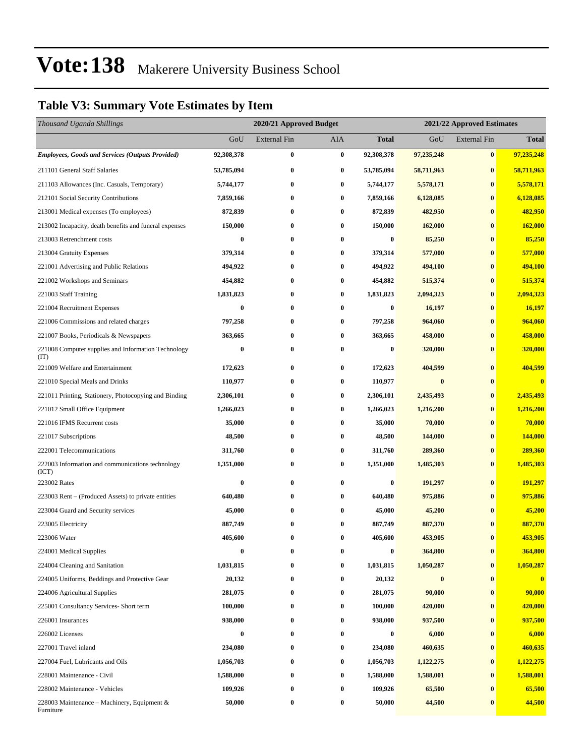### **Table V3: Summary Vote Estimates by Item**

| Thousand Uganda Shillings                                   |            | 2020/21 Approved Budget |          | 2021/22 Approved Estimates |            |                     |                         |  |
|-------------------------------------------------------------|------------|-------------------------|----------|----------------------------|------------|---------------------|-------------------------|--|
|                                                             | GoU        | External Fin            | AIA      | <b>Total</b>               | GoU        | <b>External Fin</b> | <b>Total</b>            |  |
| <b>Employees, Goods and Services (Outputs Provided)</b>     | 92,308,378 | $\bf{0}$                | $\bf{0}$ | 92,308,378                 | 97,235,248 | $\vert 0 \vert$     | 97,235,248              |  |
| 211101 General Staff Salaries                               | 53,785,094 | $\bf{0}$                | $\bf{0}$ | 53,785,094                 | 58,711,963 | $\bf{0}$            | 58,711,963              |  |
| 211103 Allowances (Inc. Casuals, Temporary)                 | 5,744,177  | $\bf{0}$                | $\bf{0}$ | 5,744,177                  | 5,578,171  | $\bf{0}$            | 5,578,171               |  |
| 212101 Social Security Contributions                        | 7,859,166  | $\bf{0}$                | $\bf{0}$ | 7,859,166                  | 6,128,085  | $\bf{0}$            | 6,128,085               |  |
| 213001 Medical expenses (To employees)                      | 872,839    | $\bf{0}$                | $\bf{0}$ | 872,839                    | 482,950    | $\bf{0}$            | 482,950                 |  |
| 213002 Incapacity, death benefits and funeral expenses      | 150,000    | $\bf{0}$                | $\bf{0}$ | 150,000                    | 162,000    | $\bf{0}$            | 162,000                 |  |
| 213003 Retrenchment costs                                   | 0          | $\bf{0}$                | $\bf{0}$ | 0                          | 85,250     | $\bf{0}$            | 85,250                  |  |
| 213004 Gratuity Expenses                                    | 379,314    | $\bf{0}$                | $\bf{0}$ | 379,314                    | 577,000    | $\bf{0}$            | 577,000                 |  |
| 221001 Advertising and Public Relations                     | 494,922    | $\bf{0}$                | $\bf{0}$ | 494,922                    | 494,100    | $\bf{0}$            | 494,100                 |  |
| 221002 Workshops and Seminars                               | 454,882    | $\bf{0}$                | $\bf{0}$ | 454,882                    | 515,374    | $\bf{0}$            | 515,374                 |  |
| 221003 Staff Training                                       | 1,831,823  | $\bf{0}$                | $\bf{0}$ | 1,831,823                  | 2,094,323  | $\bf{0}$            | 2,094,323               |  |
| 221004 Recruitment Expenses                                 | 0          | $\bf{0}$                | $\bf{0}$ | $\boldsymbol{0}$           | 16,197     | $\bf{0}$            | 16,197                  |  |
| 221006 Commissions and related charges                      | 797,258    | $\bf{0}$                | $\bf{0}$ | 797,258                    | 964,060    | $\bf{0}$            | 964,060                 |  |
| 221007 Books, Periodicals & Newspapers                      | 363,665    | 0                       | $\bf{0}$ | 363,665                    | 458,000    | $\bf{0}$            | 458,000                 |  |
| 221008 Computer supplies and Information Technology<br>(TT) | $\bf{0}$   | $\bf{0}$                | $\bf{0}$ | $\bf{0}$                   | 320,000    | $\bf{0}$            | 320,000                 |  |
| 221009 Welfare and Entertainment                            | 172,623    | $\bf{0}$                | $\bf{0}$ | 172,623                    | 404,599    | $\bf{0}$            | 404,599                 |  |
| 221010 Special Meals and Drinks                             | 110,977    | $\bf{0}$                | $\bf{0}$ | 110,977                    | $\bf{0}$   | $\bf{0}$            | $\overline{\mathbf{0}}$ |  |
| 221011 Printing, Stationery, Photocopying and Binding       | 2,306,101  | $\bf{0}$                | $\bf{0}$ | 2,306,101                  | 2,435,493  | $\bf{0}$            | 2,435,493               |  |
| 221012 Small Office Equipment                               | 1,266,023  | $\bf{0}$                | $\bf{0}$ | 1,266,023                  | 1,216,200  | $\bf{0}$            | 1,216,200               |  |
| 221016 IFMS Recurrent costs                                 | 35,000     | $\bf{0}$                | $\bf{0}$ | 35,000                     | 70,000     | $\bf{0}$            | 70,000                  |  |
| 221017 Subscriptions                                        | 48,500     | $\bf{0}$                | $\bf{0}$ | 48,500                     | 144,000    | $\bf{0}$            | 144,000                 |  |
| 222001 Telecommunications                                   | 311,760    | $\bf{0}$                | $\bf{0}$ | 311,760                    | 289,360    | $\bf{0}$            | 289,360                 |  |
| 222003 Information and communications technology<br>(ICT)   | 1,351,000  | $\bf{0}$                | $\bf{0}$ | 1,351,000                  | 1,485,303  | $\bf{0}$            | 1,485,303               |  |
| 223002 Rates                                                | 0          | $\bf{0}$                | $\bf{0}$ | $\boldsymbol{0}$           | 191,297    | $\bf{0}$            | 191,297                 |  |
| 223003 Rent – (Produced Assets) to private entities         | 640,480    | $\bf{0}$                | $\bf{0}$ | 640,480                    | 975,886    | $\bf{0}$            | 975,886                 |  |
| 223004 Guard and Security services                          | 45,000     | $\bf{0}$                | $\bf{0}$ | 45,000                     | 45,200     | $\bf{0}$            | 45,200                  |  |
| 223005 Electricity                                          | 887,749    | $\bf{0}$                | $\bf{0}$ | 887,749                    | 887,370    | $\bf{0}$            | 887,370                 |  |
| 223006 Water                                                | 405,600    | $\bf{0}$                | $\bf{0}$ | 405,600                    | 453,905    | $\bf{0}$            | 453,905                 |  |
| 224001 Medical Supplies                                     | $\bf{0}$   | 0                       | $\bf{0}$ | $\bf{0}$                   | 364,800    | $\bf{0}$            | 364,800                 |  |
| 224004 Cleaning and Sanitation                              | 1,031,815  | 0                       | $\bf{0}$ | 1,031,815                  | 1,050,287  | $\bf{0}$            | 1,050,287               |  |
| 224005 Uniforms, Beddings and Protective Gear               | 20,132     | $\bf{0}$                | $\bf{0}$ | 20,132                     | $\pmb{0}$  | $\bf{0}$            | $\bf{0}$                |  |
| 224006 Agricultural Supplies                                | 281,075    | 0                       | $\bf{0}$ | 281,075                    | 90,000     | $\bf{0}$            | 90,000                  |  |
| 225001 Consultancy Services- Short term                     | 100,000    | $\bf{0}$                | $\bf{0}$ | 100,000                    | 420,000    | $\bf{0}$            | 420,000                 |  |
| 226001 Insurances                                           | 938,000    | 0                       | $\bf{0}$ | 938,000                    | 937,500    | $\bf{0}$            | 937,500                 |  |
| 226002 Licenses                                             | 0          | 0                       | $\bf{0}$ | 0                          | 6,000      | $\bf{0}$            | 6,000                   |  |
| 227001 Travel inland                                        | 234,080    | 0                       | $\bf{0}$ | 234,080                    | 460,635    | $\bf{0}$            | 460,635                 |  |
| 227004 Fuel, Lubricants and Oils                            | 1,056,703  | 0                       | $\bf{0}$ | 1,056,703                  | 1,122,275  | $\bf{0}$            | 1,122,275               |  |
| 228001 Maintenance - Civil                                  | 1,588,000  | $\bf{0}$                | $\bf{0}$ | 1,588,000                  | 1,588,001  | $\bf{0}$            | 1,588,001               |  |
| 228002 Maintenance - Vehicles                               | 109,926    | 0                       | $\bf{0}$ | 109,926                    | 65,500     | $\bf{0}$            | 65,500                  |  |
| 228003 Maintenance – Machinery, Equipment $\&$<br>Furniture | 50,000     | $\bf{0}$                | $\bf{0}$ | 50,000                     | 44,500     | $\bf{0}$            | 44,500                  |  |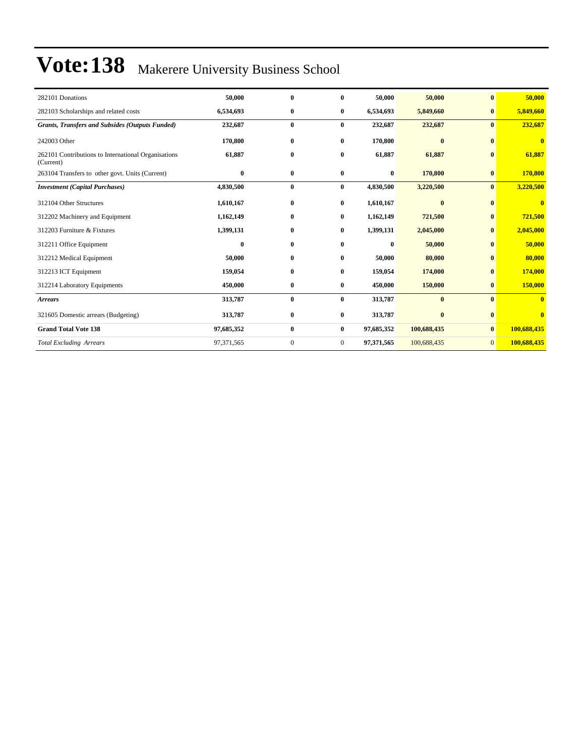| 282101 Donations                                                 | 50,000     | $\mathbf{0}$ | 0              | 50,000     | 50,000      | $\mathbf{0}$   | 50,000                  |
|------------------------------------------------------------------|------------|--------------|----------------|------------|-------------|----------------|-------------------------|
| 282103 Scholarships and related costs                            | 6,534,693  | $\bf{0}$     | $\bf{0}$       | 6,534,693  | 5,849,660   | $\bf{0}$       | 5,849,660               |
| <b>Grants, Transfers and Subsides (Outputs Funded)</b>           | 232,687    | $\bf{0}$     | $\mathbf{0}$   | 232,687    | 232,687     | $\mathbf{0}$   | 232,687                 |
| 242003 Other                                                     | 170,800    | $\bf{0}$     | $\bf{0}$       | 170,800    | $\bf{0}$    | $\mathbf{0}$   | $\mathbf{0}$            |
| 262101 Contributions to International Organisations<br>(Current) | 61,887     | $\bf{0}$     | $\bf{0}$       | 61,887     | 61,887      | $\mathbf{0}$   | 61,887                  |
| 263104 Transfers to other govt. Units (Current)                  | $\bf{0}$   | $\bf{0}$     | $\bf{0}$       | 0          | 170,800     | $\bf{0}$       | 170,800                 |
| <b>Investment</b> (Capital Purchases)                            | 4,830,500  | $\bf{0}$     | $\bf{0}$       | 4,830,500  | 3,220,500   | $\mathbf{0}$   | 3,220,500               |
| 312104 Other Structures                                          | 1,610,167  | $\bf{0}$     | $\bf{0}$       | 1,610,167  | $\bf{0}$    | $\bf{0}$       | $\bf{0}$                |
| 312202 Machinery and Equipment                                   | 1,162,149  | $\bf{0}$     | $\mathbf{0}$   | 1,162,149  | 721,500     | $\bf{0}$       | 721,500                 |
| 312203 Furniture & Fixtures                                      | 1,399,131  | $\bf{0}$     | $\bf{0}$       | 1,399,131  | 2,045,000   | $\bf{0}$       | 2,045,000               |
| 312211 Office Equipment                                          | $\bf{0}$   | $\bf{0}$     | $\bf{0}$       | 0          | 50,000      | $\mathbf{0}$   | 50,000                  |
| 312212 Medical Equipment                                         | 50,000     | $\bf{0}$     | $\bf{0}$       | 50,000     | 80,000      | $\mathbf{0}$   | 80,000                  |
| 312213 ICT Equipment                                             | 159,054    | $\bf{0}$     | $\bf{0}$       | 159,054    | 174,000     | $\mathbf{0}$   | 174,000                 |
| 312214 Laboratory Equipments                                     | 450,000    | $\bf{0}$     | $\bf{0}$       | 450,000    | 150,000     | $\bf{0}$       | 150,000                 |
| <b>Arrears</b>                                                   | 313,787    | $\bf{0}$     | $\bf{0}$       | 313,787    | $\bf{0}$    | $\mathbf{0}$   | $\mathbf{0}$            |
| 321605 Domestic arrears (Budgeting)                              | 313,787    | $\bf{0}$     | $\bf{0}$       | 313,787    | $\bf{0}$    | $\bf{0}$       | $\overline{\mathbf{0}}$ |
| <b>Grand Total Vote 138</b>                                      | 97,685,352 | $\bf{0}$     | $\bf{0}$       | 97,685,352 | 100,688,435 | $\bf{0}$       | 100,688,435             |
| <b>Total Excluding Arrears</b>                                   | 97,371,565 | $\mathbf{0}$ | $\overline{0}$ | 97,371,565 | 100,688,435 | $\overline{0}$ | 100,688,435             |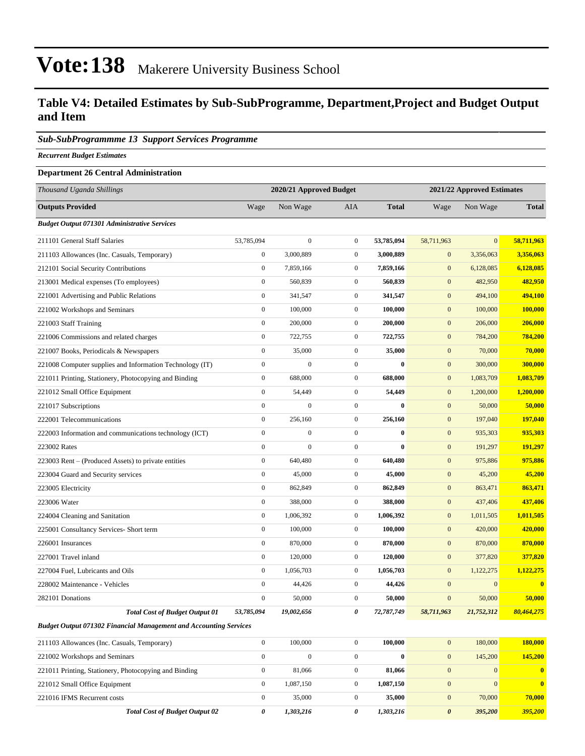### **Table V4: Detailed Estimates by Sub-SubProgramme, Department,Project and Budget Output and Item**

### *Sub-SubProgrammme 13 Support Services Programme*

*Recurrent Budget Estimates*

### **Department 26 Central Administration**

| Thousand Uganda Shillings                                                |                  | 2020/21 Approved Budget |                  |              |                  | 2021/22 Approved Estimates |                         |
|--------------------------------------------------------------------------|------------------|-------------------------|------------------|--------------|------------------|----------------------------|-------------------------|
| <b>Outputs Provided</b>                                                  | Wage             | Non Wage                | <b>AIA</b>       | <b>Total</b> | Wage             | Non Wage                   | <b>Total</b>            |
| <b>Budget Output 071301 Administrative Services</b>                      |                  |                         |                  |              |                  |                            |                         |
| 211101 General Staff Salaries                                            | 53,785,094       | $\mathbf{0}$            | $\boldsymbol{0}$ | 53,785,094   | 58,711,963       | $\mathbf{0}$               | 58,711,963              |
| 211103 Allowances (Inc. Casuals, Temporary)                              | $\boldsymbol{0}$ | 3,000,889               | $\boldsymbol{0}$ | 3,000,889    | $\mathbf{0}$     | 3,356,063                  | 3,356,063               |
| 212101 Social Security Contributions                                     | $\boldsymbol{0}$ | 7,859,166               | $\boldsymbol{0}$ | 7,859,166    | $\boldsymbol{0}$ | 6,128,085                  | 6,128,085               |
| 213001 Medical expenses (To employees)                                   | $\boldsymbol{0}$ | 560,839                 | $\boldsymbol{0}$ | 560,839      | $\boldsymbol{0}$ | 482,950                    | 482,950                 |
| 221001 Advertising and Public Relations                                  | $\boldsymbol{0}$ | 341,547                 | $\boldsymbol{0}$ | 341,547      | $\mathbf{0}$     | 494,100                    | 494,100                 |
| 221002 Workshops and Seminars                                            | $\boldsymbol{0}$ | 100,000                 | $\boldsymbol{0}$ | 100,000      | $\mathbf{0}$     | 100,000                    | 100,000                 |
| 221003 Staff Training                                                    | $\boldsymbol{0}$ | 200,000                 | $\boldsymbol{0}$ | 200,000      | $\boldsymbol{0}$ | 206,000                    | 206,000                 |
| 221006 Commissions and related charges                                   | $\boldsymbol{0}$ | 722,755                 | $\boldsymbol{0}$ | 722,755      | $\mathbf{0}$     | 784,200                    | 784,200                 |
| 221007 Books, Periodicals & Newspapers                                   | $\boldsymbol{0}$ | 35,000                  | $\mathbf{0}$     | 35,000       | $\mathbf{0}$     | 70,000                     | 70,000                  |
| 221008 Computer supplies and Information Technology (IT)                 | $\boldsymbol{0}$ | $\mathbf{0}$            | $\boldsymbol{0}$ | $\bf{0}$     | $\mathbf{0}$     | 300,000                    | 300,000                 |
| 221011 Printing, Stationery, Photocopying and Binding                    | $\boldsymbol{0}$ | 688,000                 | $\mathbf{0}$     | 688,000      | $\mathbf{0}$     | 1,083,709                  | 1,083,709               |
| 221012 Small Office Equipment                                            | $\mathbf{0}$     | 54,449                  | $\mathbf{0}$     | 54,449       | $\mathbf{0}$     | 1,200,000                  | 1,200,000               |
| 221017 Subscriptions                                                     | $\mathbf{0}$     | $\overline{0}$          | $\mathbf{0}$     | $\bf{0}$     | $\mathbf{0}$     | 50,000                     | 50,000                  |
| 222001 Telecommunications                                                | $\mathbf{0}$     | 256,160                 | $\boldsymbol{0}$ | 256,160      | $\mathbf{0}$     | 197,040                    | 197,040                 |
| 222003 Information and communications technology (ICT)                   | $\mathbf{0}$     | $\boldsymbol{0}$        | $\mathbf{0}$     | $\bf{0}$     | $\mathbf{0}$     | 935,303                    | 935,303                 |
| 223002 Rates                                                             | $\mathbf{0}$     | $\overline{0}$          | $\boldsymbol{0}$ | $\bf{0}$     | $\boldsymbol{0}$ | 191,297                    | 191,297                 |
| 223003 Rent – (Produced Assets) to private entities                      | $\mathbf{0}$     | 640,480                 | $\boldsymbol{0}$ | 640,480      | $\boldsymbol{0}$ | 975,886                    | 975,886                 |
| 223004 Guard and Security services                                       | $\boldsymbol{0}$ | 45,000                  | $\boldsymbol{0}$ | 45,000       | $\boldsymbol{0}$ | 45,200                     | 45,200                  |
| 223005 Electricity                                                       | $\boldsymbol{0}$ | 862,849                 | $\boldsymbol{0}$ | 862,849      | $\boldsymbol{0}$ | 863,471                    | 863,471                 |
| 223006 Water                                                             | $\mathbf{0}$     | 388,000                 | $\mathbf{0}$     | 388,000      | $\boldsymbol{0}$ | 437,406                    | 437,406                 |
| 224004 Cleaning and Sanitation                                           | $\boldsymbol{0}$ | 1,006,392               | $\boldsymbol{0}$ | 1,006,392    | $\boldsymbol{0}$ | 1,011,505                  | 1,011,505               |
| 225001 Consultancy Services- Short term                                  | $\boldsymbol{0}$ | 100,000                 | $\boldsymbol{0}$ | 100,000      | $\boldsymbol{0}$ | 420,000                    | 420,000                 |
| 226001 Insurances                                                        | $\boldsymbol{0}$ | 870,000                 | $\boldsymbol{0}$ | 870,000      | $\boldsymbol{0}$ | 870,000                    | 870,000                 |
| 227001 Travel inland                                                     | $\boldsymbol{0}$ | 120,000                 | $\boldsymbol{0}$ | 120,000      | $\boldsymbol{0}$ | 377,820                    | 377,820                 |
| 227004 Fuel, Lubricants and Oils                                         | $\boldsymbol{0}$ | 1,056,703               | $\boldsymbol{0}$ | 1,056,703    | $\mathbf{0}$     | 1,122,275                  | 1,122,275               |
| 228002 Maintenance - Vehicles                                            | $\boldsymbol{0}$ | 44,426                  | $\boldsymbol{0}$ | 44,426       | $\boldsymbol{0}$ | $\mathbf{0}$               | $\overline{\mathbf{0}}$ |
| 282101 Donations                                                         | $\boldsymbol{0}$ | 50,000                  | $\boldsymbol{0}$ | 50,000       | $\mathbf{0}$     | 50,000                     | 50,000                  |
| <b>Total Cost of Budget Output 01</b>                                    | 53,785,094       | 19,002,656              | 0                | 72,787,749   | 58,711,963       | 21,752,312                 | 80,464,275              |
| <b>Budget Output 071302 Financial Management and Accounting Services</b> |                  |                         |                  |              |                  |                            |                         |
| 211103 Allowances (Inc. Casuals, Temporary)                              | $\boldsymbol{0}$ | 100,000                 | $\boldsymbol{0}$ | 100,000      | $\mathbf{0}$     | 180,000                    | 180,000                 |
| 221002 Workshops and Cominary                                            | $\Omega$         | $\Omega$                | $\Omega$         | $\theta$     | $\Omega$         | 145,200                    | 145,200                 |

| 221002 Workshops and Seminars                         |                                       |           |           | $\Omega$ | 145,200 | 145,200      |
|-------------------------------------------------------|---------------------------------------|-----------|-----------|----------|---------|--------------|
| 221011 Printing, Stationery, Photocopying and Binding |                                       | 81,066    | 81.066    |          |         | $\bf{0}$     |
| 221012 Small Office Equipment                         |                                       | 1.087.150 | 1.087.150 |          |         | $\mathbf{0}$ |
| 221016 IFMS Recurrent costs                           |                                       | 35,000    | 35,000    |          | 70,000  | 70,000       |
|                                                       | <b>Total Cost of Budget Output 02</b> | 1.303.216 | 1,303,216 | $\theta$ | 395,200 | 395,200      |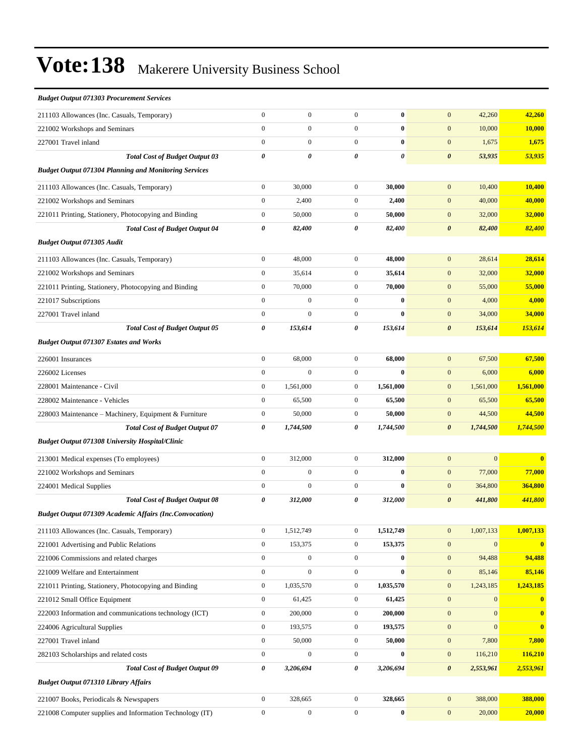| <b>Budget Output 071303 Procurement Services</b>               |                       |                  |                  |                  |                                      |              |
|----------------------------------------------------------------|-----------------------|------------------|------------------|------------------|--------------------------------------|--------------|
| 211103 Allowances (Inc. Casuals, Temporary)                    | $\boldsymbol{0}$      | $\boldsymbol{0}$ | $\mathbf{0}$     | $\bf{0}$         | $\mathbf{0}$<br>42,260               | 42,260       |
| 221002 Workshops and Seminars                                  | $\mathbf{0}$          | $\boldsymbol{0}$ | $\boldsymbol{0}$ | $\bf{0}$         | $\mathbf{0}$<br>10,000               | 10,000       |
| 227001 Travel inland                                           | $\boldsymbol{0}$      | $\boldsymbol{0}$ | $\boldsymbol{0}$ | $\bf{0}$         | $\boldsymbol{0}$<br>1,675            | 1,675        |
| <b>Total Cost of Budget Output 03</b>                          | $\boldsymbol{\theta}$ | 0                | $\theta$         | 0                | $\boldsymbol{\theta}$<br>53,935      | 53,935       |
| <b>Budget Output 071304 Planning and Monitoring Services</b>   |                       |                  |                  |                  |                                      |              |
| 211103 Allowances (Inc. Casuals, Temporary)                    | $\boldsymbol{0}$      | 30,000           | $\boldsymbol{0}$ | 30,000           | $\mathbf{0}$<br>10,400               | 10,400       |
| 221002 Workshops and Seminars                                  | $\boldsymbol{0}$      | 2,400            | $\overline{0}$   | 2,400            | $\boldsymbol{0}$<br>40,000           | 40,000       |
| 221011 Printing, Stationery, Photocopying and Binding          | $\boldsymbol{0}$      | 50,000           | $\boldsymbol{0}$ | 50,000           | $\mathbf{0}$<br>32,000               | 32,000       |
| <b>Total Cost of Budget Output 04</b>                          | 0                     | 82,400           | 0                | 82,400           | $\pmb{\theta}$<br>82,400             | 82,400       |
| Budget Output 071305 Audit                                     |                       |                  |                  |                  |                                      |              |
| 211103 Allowances (Inc. Casuals, Temporary)                    | $\boldsymbol{0}$      | 48,000           | $\mathbf{0}$     | 48,000           | $\mathbf{0}$<br>28,614               | 28,614       |
| 221002 Workshops and Seminars                                  | $\boldsymbol{0}$      | 35,614           | $\mathbf{0}$     | 35,614           | $\boldsymbol{0}$<br>32,000           | 32,000       |
| 221011 Printing, Stationery, Photocopying and Binding          | $\boldsymbol{0}$      | 70,000           | $\mathbf{0}$     | 70,000           | $\boldsymbol{0}$<br>55,000           | 55,000       |
| 221017 Subscriptions                                           | $\mathbf{0}$          | $\mathbf{0}$     | $\boldsymbol{0}$ | $\bf{0}$         | $\mathbf{0}$<br>4,000                | 4,000        |
| 227001 Travel inland                                           | $\boldsymbol{0}$      | $\mathbf{0}$     | $\mathbf{0}$     | $\bf{0}$         | $\boldsymbol{0}$<br>34,000           | 34,000       |
| <b>Total Cost of Budget Output 05</b>                          | 0                     | 153,614          | 0                | 153,614          | $\boldsymbol{\theta}$<br>153,614     | 153,614      |
| <b>Budget Output 071307 Estates and Works</b>                  |                       |                  |                  |                  |                                      |              |
| 226001 Insurances                                              | $\boldsymbol{0}$      | 68,000           | $\mathbf{0}$     | 68,000           | $\mathbf{0}$<br>67,500               | 67,500       |
| 226002 Licenses                                                | $\boldsymbol{0}$      | $\mathbf{0}$     | $\overline{0}$   | $\bf{0}$         | $\boldsymbol{0}$<br>6,000            | 6,000        |
| 228001 Maintenance - Civil                                     | $\boldsymbol{0}$      | 1,561,000        | $\boldsymbol{0}$ | 1,561,000        | $\boldsymbol{0}$<br>1,561,000        | 1,561,000    |
| 228002 Maintenance - Vehicles                                  | $\boldsymbol{0}$      | 65,500           | $\boldsymbol{0}$ | 65,500           | $\mathbf{0}$<br>65,500               | 65,500       |
| 228003 Maintenance - Machinery, Equipment & Furniture          | $\boldsymbol{0}$      | 50,000           | $\mathbf{0}$     | 50,000           | $\boldsymbol{0}$<br>44,500           | 44,500       |
| <b>Total Cost of Budget Output 07</b>                          | 0                     | 1,744,500        | 0                | 1,744,500        | $\boldsymbol{\theta}$<br>1,744,500   | 1,744,500    |
| <b>Budget Output 071308 University Hospital/Clinic</b>         |                       |                  |                  |                  |                                      |              |
| 213001 Medical expenses (To employees)                         | $\boldsymbol{0}$      | 312,000          | $\mathbf{0}$     | 312,000          | $\mathbf{0}$<br>$\mathbf{0}$         | $\bf{0}$     |
| 221002 Workshops and Seminars                                  | $\mathbf{0}$          | $\boldsymbol{0}$ | $\boldsymbol{0}$ | $\bf{0}$         | $\boldsymbol{0}$<br>77,000           | 77,000       |
| 224001 Medical Supplies                                        | $\boldsymbol{0}$      | $\mathbf{0}$     | $\mathbf{0}$     | $\bf{0}$         | $\boldsymbol{0}$<br>364,800          | 364,800      |
| <b>Total Cost of Budget Output 08</b>                          | 0                     | 312,000          | 0                | 312,000          | $\boldsymbol{\theta}$<br>441,800     | 441,800      |
| <b>Budget Output 071309 Academic Affairs (Inc.Convocation)</b> |                       |                  |                  |                  |                                      |              |
| 211103 Allowances (Inc. Casuals, Temporary)                    | $\boldsymbol{0}$      | 1,512,749        | $\boldsymbol{0}$ | 1,512,749        | 1,007,133<br>$\boldsymbol{0}$        | 1,007,133    |
| 221001 Advertising and Public Relations                        | $\boldsymbol{0}$      | 153,375          | $\boldsymbol{0}$ | 153,375          | $\boldsymbol{0}$<br>$\mathbf{0}$     | $\mathbf{0}$ |
| 221006 Commissions and related charges                         | $\boldsymbol{0}$      | $\boldsymbol{0}$ | $\boldsymbol{0}$ | $\bf{0}$         | $\boldsymbol{0}$<br>94,488           | 94,488       |
| 221009 Welfare and Entertainment                               | $\boldsymbol{0}$      | $\boldsymbol{0}$ | $\boldsymbol{0}$ | $\boldsymbol{0}$ | $\boldsymbol{0}$<br>85,146           | 85,146       |
| 221011 Printing, Stationery, Photocopying and Binding          | $\boldsymbol{0}$      | 1,035,570        | $\boldsymbol{0}$ | 1,035,570        | $\boldsymbol{0}$<br>1,243,185        | 1,243,185    |
| 221012 Small Office Equipment                                  | $\boldsymbol{0}$      | 61,425           | $\boldsymbol{0}$ | 61,425           | $\boldsymbol{0}$<br>$\boldsymbol{0}$ | $\bf{0}$     |
| 222003 Information and communications technology (ICT)         | $\boldsymbol{0}$      | 200,000          | $\boldsymbol{0}$ | 200,000          | $\boldsymbol{0}$<br>$\mathbf{0}$     | $\bf{0}$     |
| 224006 Agricultural Supplies                                   | $\boldsymbol{0}$      | 193,575          | $\boldsymbol{0}$ | 193,575          | $\mathbf{0}$<br>$\boldsymbol{0}$     | $\bf{0}$     |
| 227001 Travel inland                                           | $\boldsymbol{0}$      | 50,000           | $\boldsymbol{0}$ | 50,000           | $\boldsymbol{0}$<br>7,800            | 7,800        |
| 282103 Scholarships and related costs                          | $\boldsymbol{0}$      | $\boldsymbol{0}$ | $\boldsymbol{0}$ | $\boldsymbol{0}$ | $\boldsymbol{0}$<br>116,210          | 116,210      |
| <b>Total Cost of Budget Output 09</b>                          | 0                     | 3,206,694        | 0                | 3,206,694        | $\pmb{\theta}$<br>2,553,961          | 2,553,961    |
| <b>Budget Output 071310 Library Affairs</b>                    |                       |                  |                  |                  |                                      |              |
| 221007 Books, Periodicals & Newspapers                         | $\boldsymbol{0}$      | 328,665          | $\boldsymbol{0}$ | 328,665          | $\boldsymbol{0}$<br>388,000          | 388,000      |
| 221008 Computer supplies and Information Technology (IT)       | $\boldsymbol{0}$      | $\boldsymbol{0}$ | $\boldsymbol{0}$ | $\bf{0}$         | $\boldsymbol{0}$<br>20,000           | 20,000       |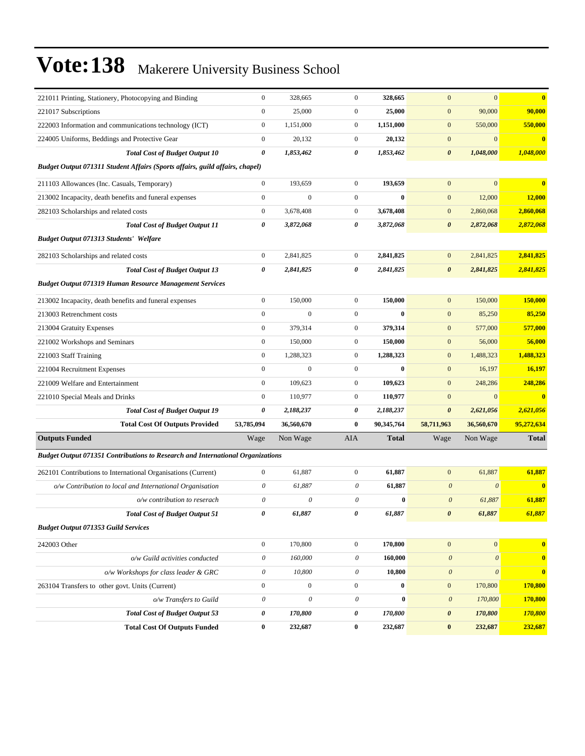| 221011 Printing, Stationery, Photocopying and Binding                          | $\boldsymbol{0}$          | 328,665               | $\boldsymbol{0}$ | 328,665      | $\boldsymbol{0}$          | $\mathbf{0}$          | $\bf{0}$      |
|--------------------------------------------------------------------------------|---------------------------|-----------------------|------------------|--------------|---------------------------|-----------------------|---------------|
| 221017 Subscriptions                                                           | $\boldsymbol{0}$          | 25,000                | $\boldsymbol{0}$ | 25,000       | $\boldsymbol{0}$          | 90,000                | 90,000        |
| 222003 Information and communications technology (ICT)                         | $\boldsymbol{0}$          | 1,151,000             | $\mathbf{0}$     | 1,151,000    | $\boldsymbol{0}$          | 550,000               | 550,000       |
| 224005 Uniforms, Beddings and Protective Gear                                  | $\boldsymbol{0}$          | 20,132                | $\overline{0}$   | 20,132       | $\boldsymbol{0}$          | $\boldsymbol{0}$      | $\bf{0}$      |
| <b>Total Cost of Budget Output 10</b>                                          | 0                         | 1,853,462             | 0                | 1,853,462    | $\pmb{\theta}$            | 1,048,000             | 1,048,000     |
| Budget Output 071311 Student Affairs (Sports affairs, guild affairs, chapel)   |                           |                       |                  |              |                           |                       |               |
| 211103 Allowances (Inc. Casuals, Temporary)                                    | $\boldsymbol{0}$          | 193,659               | $\mathbf{0}$     | 193,659      | $\mathbf{0}$              | $\mathbf{0}$          | $\bf{0}$      |
| 213002 Incapacity, death benefits and funeral expenses                         | $\boldsymbol{0}$          | $\boldsymbol{0}$      | $\boldsymbol{0}$ | $\bf{0}$     | $\boldsymbol{0}$          | 12,000                | <b>12,000</b> |
| 282103 Scholarships and related costs                                          | $\boldsymbol{0}$          | 3,678,408             | $\boldsymbol{0}$ | 3,678,408    | $\boldsymbol{0}$          | 2,860,068             | 2,860,068     |
| <b>Total Cost of Budget Output 11</b>                                          | 0                         | 3,872,068             | 0                | 3,872,068    | $\boldsymbol{\theta}$     | 2,872,068             | 2,872,068     |
| <b>Budget Output 071313 Students' Welfare</b>                                  |                           |                       |                  |              |                           |                       |               |
| 282103 Scholarships and related costs                                          | $\boldsymbol{0}$          | 2,841,825             | $\mathbf{0}$     | 2,841,825    | $\boldsymbol{0}$          | 2,841,825             | 2,841,825     |
| <b>Total Cost of Budget Output 13</b>                                          | 0                         | 2,841,825             | 0                | 2,841,825    | $\boldsymbol{\theta}$     | 2,841,825             | 2,841,825     |
| <b>Budget Output 071319 Human Resource Management Services</b>                 |                           |                       |                  |              |                           |                       |               |
| 213002 Incapacity, death benefits and funeral expenses                         | $\boldsymbol{0}$          | 150,000               | $\mathbf{0}$     | 150,000      | $\boldsymbol{0}$          | 150,000               | 150,000       |
| 213003 Retrenchment costs                                                      | $\boldsymbol{0}$          | $\mathbf{0}$          | $\boldsymbol{0}$ | $\bf{0}$     | $\boldsymbol{0}$          | 85,250                | 85,250        |
| 213004 Gratuity Expenses                                                       | $\boldsymbol{0}$          | 379,314               | $\boldsymbol{0}$ | 379,314      | $\boldsymbol{0}$          | 577,000               | 577,000       |
| 221002 Workshops and Seminars                                                  | $\boldsymbol{0}$          | 150,000               | $\mathbf{0}$     | 150,000      | $\boldsymbol{0}$          | 56,000                | 56,000        |
| 221003 Staff Training                                                          | $\boldsymbol{0}$          | 1,288,323             | $\mathbf{0}$     | 1,288,323    | $\boldsymbol{0}$          | 1,488,323             | 1,488,323     |
| 221004 Recruitment Expenses                                                    | $\boldsymbol{0}$          | $\mathbf{0}$          | $\boldsymbol{0}$ | $\bf{0}$     | $\boldsymbol{0}$          | 16,197                | 16,197        |
| 221009 Welfare and Entertainment                                               | $\boldsymbol{0}$          | 109,623               | $\boldsymbol{0}$ | 109,623      | $\mathbf{0}$              | 248,286               | 248,286       |
| 221010 Special Meals and Drinks                                                | $\boldsymbol{0}$          | 110,977               | $\boldsymbol{0}$ | 110,977      | $\mathbf{0}$              | $\mathbf{0}$          | $\bf{0}$      |
| <b>Total Cost of Budget Output 19</b>                                          | 0                         | 2,188,237             | 0                | 2,188,237    | $\pmb{\theta}$            | 2,621,056             | 2,621,056     |
| <b>Total Cost Of Outputs Provided</b>                                          | 53,785,094                | 36,560,670            | $\bf{0}$         | 90,345,764   | 58,711,963                | 36,560,670            | 95,272,634    |
| <b>Outputs Funded</b>                                                          | Wage                      | Non Wage              | AIA              | <b>Total</b> | Wage                      | Non Wage              | <b>Total</b>  |
| Budget Output 071351 Contributions to Research and International Organizations |                           |                       |                  |              |                           |                       |               |
| 262101 Contributions to International Organisations (Current)                  | $\boldsymbol{0}$          | 61,887                | $\boldsymbol{0}$ | 61,887       | $\boldsymbol{0}$          | 61,887                | 61,887        |
| o/w Contribution to local and International Organisation                       | $\theta$                  | 61,887                | 0                | 61,887       | $\boldsymbol{\theta}$     | $\boldsymbol{\theta}$ | $\mathbf{0}$  |
| o/w contribution to reserach                                                   | $\boldsymbol{\theta}$     | 0                     | $\theta$         | $\bf{0}$     | $\boldsymbol{\theta}$     | 61,887                | 61,887        |
| <b>Total Cost of Budget Output 51</b>                                          | $\boldsymbol{\theta}$     | 61,887                | 0                | 61,887       | $\boldsymbol{\theta}$     | 61,887                | 61,887        |
| <b>Budget Output 071353 Guild Services</b>                                     |                           |                       |                  |              |                           |                       |               |
| 242003 Other                                                                   | $\boldsymbol{0}$          | 170,800               | $\overline{0}$   | 170,800      | $\boldsymbol{0}$          | $\boldsymbol{0}$      | $\bf{0}$      |
| o/w Guild activities conducted                                                 | $\boldsymbol{\mathit{0}}$ | 160,000               | 0                | 160,000      | $\boldsymbol{\mathit{0}}$ | $\boldsymbol{\theta}$ | $\mathbf{0}$  |
| o/w Workshops for class leader & GRC                                           | $\boldsymbol{\mathit{0}}$ | 10,800                | 0                | 10,800       | $\boldsymbol{\theta}$     | $\boldsymbol{\theta}$ | $\bf{0}$      |
| 263104 Transfers to other govt. Units (Current)                                | $\boldsymbol{0}$          | $\boldsymbol{0}$      | $\boldsymbol{0}$ | $\bf{0}$     | $\boldsymbol{0}$          | 170,800               | 170,800       |
| o/w Transfers to Guild                                                         | $\boldsymbol{\mathit{0}}$ | $\boldsymbol{\theta}$ | $\mathcal O$     | $\pmb{0}$    | $\boldsymbol{\theta}$     | 170,800               | 170,800       |
| <b>Total Cost of Budget Output 53</b>                                          | 0                         | 170,800               | 0                | 170,800      | 0                         | 170,800               | 170,800       |
| <b>Total Cost Of Outputs Funded</b>                                            | $\bf{0}$                  | 232,687               | $\bf{0}$         | 232,687      | $\pmb{0}$                 | 232,687               | 232,687       |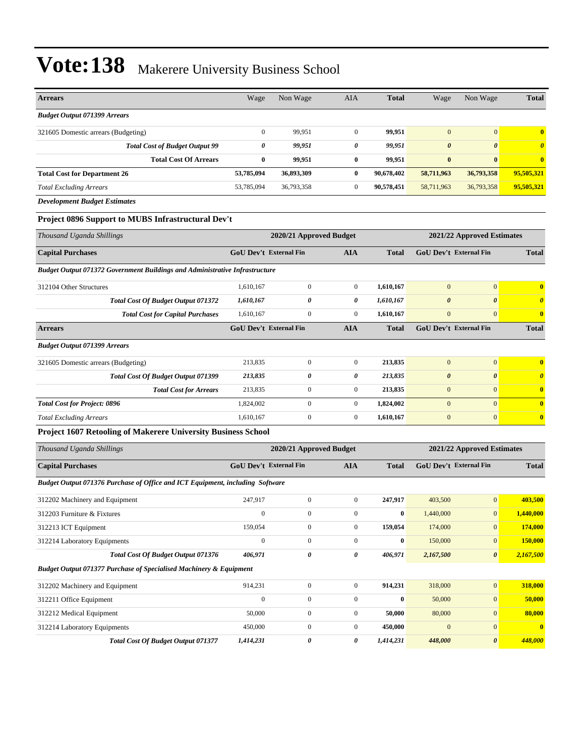| <b>Arrears</b>                                                                     | Wage                          | Non Wage                | <b>AIA</b>       | <b>Total</b> | Wage                       | Non Wage                      | <b>Total</b>            |
|------------------------------------------------------------------------------------|-------------------------------|-------------------------|------------------|--------------|----------------------------|-------------------------------|-------------------------|
| <b>Budget Output 071399 Arrears</b>                                                |                               |                         |                  |              |                            |                               |                         |
| 321605 Domestic arrears (Budgeting)                                                | $\mathbf{0}$                  | 99,951                  | $\overline{0}$   | 99,951       | $\mathbf{0}$               | $\overline{0}$                | $\bf{0}$                |
| <b>Total Cost of Budget Output 99</b>                                              | $\boldsymbol{\theta}$         | 99,951                  | 0                | 99,951       | $\boldsymbol{\theta}$      | $\boldsymbol{\theta}$         | $\boldsymbol{\theta}$   |
| <b>Total Cost Of Arrears</b>                                                       | $\bf{0}$                      | 99,951                  | $\bf{0}$         | 99,951       | $\bf{0}$                   | $\bf{0}$                      | $\bf{0}$                |
| <b>Total Cost for Department 26</b>                                                | 53,785,094                    | 36,893,309              | $\bf{0}$         | 90,678,402   | 58,711,963                 | 36,793,358                    | 95,505,321              |
| <b>Total Excluding Arrears</b>                                                     | 53,785,094                    | 36,793,358              | $\overline{0}$   | 90,578,451   | 58,711,963                 | 36,793,358                    | 95,505,321              |
| <b>Development Budget Estimates</b>                                                |                               |                         |                  |              |                            |                               |                         |
| Project 0896 Support to MUBS Infrastructural Dev't                                 |                               |                         |                  |              |                            |                               |                         |
| Thousand Uganda Shillings                                                          | 2020/21 Approved Budget       |                         |                  |              | 2021/22 Approved Estimates |                               |                         |
| <b>Capital Purchases</b>                                                           | <b>GoU Dev't External Fin</b> |                         | <b>AIA</b>       | <b>Total</b> |                            | <b>GoU Dev't External Fin</b> | <b>Total</b>            |
| <b>Budget Output 071372 Government Buildings and Administrative Infrastructure</b> |                               |                         |                  |              |                            |                               |                         |
| 312104 Other Structures                                                            | 1,610,167                     | $\mathbf{0}$            | $\mathbf{0}$     | 1,610,167    | $\mathbf{0}$               | $\overline{0}$                | $\bf{0}$                |
| Total Cost Of Budget Output 071372                                                 | 1,610,167                     | $\theta$                | 0                | 1,610,167    | $\boldsymbol{\theta}$      | $\boldsymbol{\theta}$         | $\boldsymbol{\theta}$   |
| <b>Total Cost for Capital Purchases</b>                                            | 1,610,167                     | $\mathbf{0}$            | $\overline{0}$   | 1,610,167    | $\mathbf{0}$               | $\mathbf{0}$                  | $\mathbf{0}$            |
| <b>Arrears</b>                                                                     | <b>GoU Dev't External Fin</b> |                         | <b>AIA</b>       | Total        | GoU Dev't External Fin     |                               | <b>Total</b>            |
| <b>Budget Output 071399 Arrears</b>                                                |                               |                         |                  |              |                            |                               |                         |
| 321605 Domestic arrears (Budgeting)                                                | 213,835                       | $\overline{0}$          | $\mathbf{0}$     | 213,835      | $\mathbf{0}$               | $\mathbf{0}$                  | $\bf{0}$                |
| Total Cost Of Budget Output 071399                                                 | 213,835                       | $\theta$                | 0                | 213,835      | $\boldsymbol{\theta}$      | $\boldsymbol{\theta}$         | $\boldsymbol{\theta}$   |
| <b>Total Cost for Arrears</b>                                                      | 213,835                       | $\overline{0}$          | $\mathbf{0}$     | 213,835      | $\mathbf{0}$               | $\overline{0}$                | $\bf{0}$                |
| <b>Total Cost for Project: 0896</b>                                                | 1,824,002                     | $\overline{0}$          | $\mathbf{0}$     | 1,824,002    | $\overline{0}$             | $\mathbf{0}$                  | $\overline{\mathbf{0}}$ |
| <b>Total Excluding Arrears</b>                                                     | 1,610,167                     | $\boldsymbol{0}$        | $\boldsymbol{0}$ | 1,610,167    | $\boldsymbol{0}$           | $\boldsymbol{0}$              | $\bf{0}$                |
| <b>Project 1607 Retooling of Makerere University Business School</b>               |                               |                         |                  |              |                            |                               |                         |
| Thousand Uganda Shillings                                                          |                               | 2020/21 Approved Budget |                  |              |                            | 2021/22 Approved Estimates    |                         |
| <b>Capital Purchases</b>                                                           | <b>GoU Dev't External Fin</b> |                         | <b>AIA</b>       | <b>Total</b> |                            | <b>GoU Dev't External Fin</b> | <b>Total</b>            |
| Budget Output 071376 Purchase of Office and ICT Equipment, including Software      |                               |                         |                  |              |                            |                               |                         |
| 312202 Machinery and Equipment                                                     | 247,917                       | $\overline{0}$          | $\mathbf{0}$     | 247,917      | 403,500                    | $\overline{0}$                | 403,500                 |
| 312203 Furniture & Fixtures                                                        | $\mathbf{0}$                  | $\Omega$                | $\Omega$         | $\bf{0}$     | 1,440,000                  | $\Omega$                      | 1,440,000               |

*Total Cost Of Budget Output 071377 1,414,231 0 0 1,414,231 448,000 0 448,000*

*Budget Output 071377 Purchase of Specialised Machinery & Equipment*

*Total Cost Of Budget Output 071376 406,971 0 0 406,971 2,167,500 0 2,167,500*

312213 ICT Equipment 159,054 0 0 **159,054** 174,000 0 **174,000** 312214 Laboratory Equipments 0 0 0 **0** 150,000 0 **150,000**

312202 Machinery and Equipment 914,231 0 0 914,231 0 318,000 0 318,000 312211 Office Equipment 0 0 0 **0** 50,000 0 **50,000** 312212 Medical Equipment 50,000 0 0 **50,000** 80,000 0 **80,000** 312214 Laboratory Equipments 450,000 0 0 **450,000** 0 0 **0**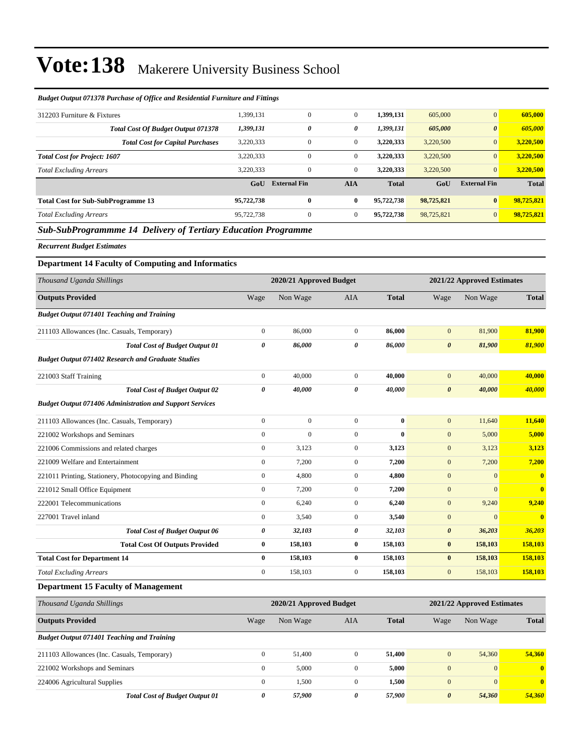| 1,399,131                                                 | $\overline{0}$      | $\mathbf{0}$                                                                                                                                     | 1,399,131               | 605,000    | $\vert 0 \vert$       | 605,000                    |
|-----------------------------------------------------------|---------------------|--------------------------------------------------------------------------------------------------------------------------------------------------|-------------------------|------------|-----------------------|----------------------------|
| 1,399,131                                                 | 0                   | 0                                                                                                                                                | 1,399,131               | 605,000    | $\boldsymbol{\theta}$ | 605,000                    |
| 3,220,333                                                 | 0                   | $\overline{0}$                                                                                                                                   | 3,220,333               | 3,220,500  | $\vert 0 \vert$       | 3,220,500                  |
| 3,220,333                                                 | $\overline{0}$      | $\overline{0}$                                                                                                                                   | 3,220,333               | 3,220,500  | $\overline{0}$        | 3,220,500                  |
| 3,220,333                                                 | $\mathbf{0}$        | $\overline{0}$                                                                                                                                   | 3,220,333               | 3,220,500  | $\overline{0}$        | 3,220,500                  |
| GoU                                                       | <b>External Fin</b> | <b>AIA</b>                                                                                                                                       | <b>Total</b>            | GoU        | <b>External Fin</b>   | <b>Total</b>               |
| 95,722,738                                                | $\bf{0}$            | 0                                                                                                                                                | 95,722,738              | 98,725,821 | $\bf{0}$              | 98,725,821                 |
| 95,722,738                                                | $\overline{0}$      | $\overline{0}$                                                                                                                                   | 95,722,738              | 98,725,821 | $\overline{0}$        | 98,725,821                 |
|                                                           |                     |                                                                                                                                                  |                         |            |                       |                            |
|                                                           |                     |                                                                                                                                                  |                         |            |                       |                            |
| <b>Department 14 Faculty of Computing and Informatics</b> |                     |                                                                                                                                                  |                         |            |                       |                            |
|                                                           |                     |                                                                                                                                                  |                         |            |                       |                            |
| Wage                                                      | Non Wage            | AIA                                                                                                                                              | <b>Total</b>            | Wage       | Non Wage              | <b>Total</b>               |
|                                                           |                     | вшцег Ошриг 0/13/6 1 игстазе од Однее ана Кезиениш г игниш е ана г шиндз<br><b>Sub-SubProgrammme 14 Delivery of Tertiary Education Programme</b> | 2020/21 Approved Budget |            |                       | 2021/22 Approved Estimates |

#### *Budget Output 071378 Purchase of Office and Residential Furniture and Fittings*

| Thousand Uganda Shillings                                       |                | 2020/21 Approved Budget |              |              | 2021/22 Approved Estimates |              |                         |
|-----------------------------------------------------------------|----------------|-------------------------|--------------|--------------|----------------------------|--------------|-------------------------|
| <b>Outputs Provided</b>                                         | Wage           | Non Wage                | <b>AIA</b>   | <b>Total</b> | Wage                       | Non Wage     | <b>Total</b>            |
| <b>Budget Output 071401 Teaching and Training</b>               |                |                         |              |              |                            |              |                         |
| 211103 Allowances (Inc. Casuals, Temporary)                     | $\overline{0}$ | 86,000                  | $\mathbf{0}$ | 86,000       | $\overline{0}$             | 81,900       | 81,900                  |
| <b>Total Cost of Budget Output 01</b>                           | 0              | 86,000                  | 0            | 86,000       | $\boldsymbol{\theta}$      | 81,900       | 81,900                  |
| <b>Budget Output 071402 Research and Graduate Studies</b>       |                |                         |              |              |                            |              |                         |
| 221003 Staff Training                                           | $\overline{0}$ | 40,000                  | $\mathbf{0}$ | 40.000       | $\mathbf{0}$               | 40,000       | 40,000                  |
| <b>Total Cost of Budget Output 02</b>                           | 0              | 40,000                  | 0            | 40,000       | $\boldsymbol{\theta}$      | 40,000       | 40,000                  |
| <b>Budget Output 071406 Administration and Support Services</b> |                |                         |              |              |                            |              |                         |
| 211103 Allowances (Inc. Casuals, Temporary)                     | $\mathbf{0}$   | $\Omega$                | $\mathbf{0}$ | $\bf{0}$     | $\mathbf{0}$               | 11,640       | 11,640                  |
| 221002 Workshops and Seminars                                   | $\mathbf{0}$   | $\mathbf{0}$            | $\mathbf{0}$ | $\bf{0}$     | $\overline{0}$             | 5,000        | 5,000                   |
| 221006 Commissions and related charges                          | $\mathbf{0}$   | 3,123                   | $\mathbf{0}$ | 3,123        | $\mathbf{0}$               | 3,123        | 3,123                   |
| 221009 Welfare and Entertainment                                | $\overline{0}$ | 7,200                   | $\mathbf{0}$ | 7,200        | $\overline{0}$             | 7,200        | 7,200                   |
| 221011 Printing, Stationery, Photocopying and Binding           | $\mathbf{0}$   | 4,800                   | $\mathbf{0}$ | 4,800        | $\overline{0}$             | $\mathbf{0}$ | $\overline{\mathbf{0}}$ |
| 221012 Small Office Equipment                                   | $\overline{0}$ | 7,200                   | $\mathbf{0}$ | 7,200        | $\overline{0}$             | $\mathbf{0}$ | $\overline{\mathbf{0}}$ |
| 222001 Telecommunications                                       | $\mathbf{0}$   | 6,240                   | $\mathbf{0}$ | 6,240        | $\overline{0}$             | 9,240        | 9,240                   |
| 227001 Travel inland                                            | $\Omega$       | 3,540                   | $\mathbf{0}$ | 3,540        | $\mathbf{0}$               | $\Omega$     | $\bf{0}$                |
| <b>Total Cost of Budget Output 06</b>                           | 0              | 32,103                  | 0            | 32,103       | $\boldsymbol{\theta}$      | 36,203       | 36,203                  |
| <b>Total Cost Of Outputs Provided</b>                           | $\bf{0}$       | 158,103                 | $\bf{0}$     | 158,103      | $\bf{0}$                   | 158,103      | 158,103                 |
| <b>Total Cost for Department 14</b>                             | $\bf{0}$       | 158,103                 | $\bf{0}$     | 158,103      | $\bf{0}$                   | 158,103      | 158,103                 |
| <b>Total Excluding Arrears</b>                                  | $\mathbf{0}$   | 158,103                 | $\mathbf{0}$ | 158,103      | $\mathbf{0}$               | 158,103      | 158,103                 |

### **Department 15 Faculty of Management**

| Thousand Uganda Shillings                         | 2020/21 Approved Budget |          |          |              | 2021/22 Approved Estimates |                 |              |  |
|---------------------------------------------------|-------------------------|----------|----------|--------------|----------------------------|-----------------|--------------|--|
| <b>Outputs Provided</b>                           | Wage                    | Non Wage | AIA      | <b>Total</b> | Wage                       | Non Wage        | <b>Total</b> |  |
| <b>Budget Output 071401 Teaching and Training</b> |                         |          |          |              |                            |                 |              |  |
| 211103 Allowances (Inc. Casuals, Temporary)       | $\Omega$                | 51,400   |          | 51,400       | $\mathbf{0}$               | 54,360          | 54,360       |  |
| 221002 Workshops and Seminars                     | 0                       | 5,000    |          | 5,000        | $\mathbf{0}$               | $\vert 0 \vert$ | $\mathbf{0}$ |  |
| 224006 Agricultural Supplies                      | $\mathbf{0}$            | 1,500    | $\theta$ | 1,500        | $\mathbf{0}$               | $\vert 0 \vert$ | $\mathbf{0}$ |  |
| <b>Total Cost of Budget Output 01</b>             | 0                       | 57,900   | 0        | 57,900       | $\boldsymbol{\theta}$      | 54,360          | 54,360       |  |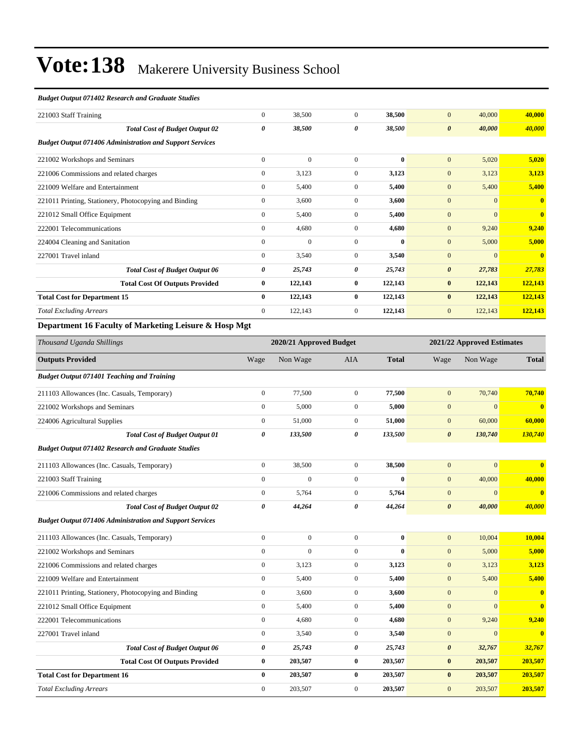#### *Budget Output 071402 Research and Graduate Studies*

| 221003 Staff Training                                                                                                                                                                                                                                                                                       | $\mathbf{0}$ | 38,500       | $\theta$       | 38,500       | 40,000<br>$\mathbf{0}$          | 40,000                  |
|-------------------------------------------------------------------------------------------------------------------------------------------------------------------------------------------------------------------------------------------------------------------------------------------------------------|--------------|--------------|----------------|--------------|---------------------------------|-------------------------|
| <b>Total Cost of Budget Output 02</b>                                                                                                                                                                                                                                                                       | 0            | 38,500       | 0              | 38,500       | 40,000<br>$\boldsymbol{\theta}$ | 40,000                  |
| <b>Budget Output 071406 Administration and Support Services</b>                                                                                                                                                                                                                                             |              |              |                |              |                                 |                         |
| 221002 Workshops and Seminars                                                                                                                                                                                                                                                                               | $\mathbf{0}$ | $\mathbf{0}$ | $\Omega$       | $\mathbf{0}$ | $\mathbf{0}$<br>5,020           | 5,020                   |
| 221006 Commissions and related charges                                                                                                                                                                                                                                                                      | $\mathbf{0}$ | 3,123        | $\overline{0}$ | 3,123        | $\mathbf{0}$<br>3,123           | 3,123                   |
| 221009 Welfare and Entertainment                                                                                                                                                                                                                                                                            | $\mathbf{0}$ | 5,400        | $\mathbf{0}$   | 5,400        | 5,400<br>$\mathbf{0}$           | 5,400                   |
| 221011 Printing, Stationery, Photocopying and Binding                                                                                                                                                                                                                                                       | $\mathbf{0}$ | 3,600        | $\mathbf{0}$   | 3,600        | $\overline{0}$<br>$\mathbf{0}$  | $\mathbf{0}$            |
| 221012 Small Office Equipment                                                                                                                                                                                                                                                                               | $\mathbf{0}$ | 5,400        | $\overline{0}$ | 5,400        | $\overline{0}$<br>$\mathbf{0}$  | $\overline{\mathbf{0}}$ |
| 222001 Telecommunications                                                                                                                                                                                                                                                                                   | $\mathbf{0}$ | 4,680        | $\mathbf{0}$   | 4,680        | 9,240<br>$\mathbf{0}$           | 9,240                   |
| 224004 Cleaning and Sanitation                                                                                                                                                                                                                                                                              | $\mathbf{0}$ | $\mathbf{0}$ | $\Omega$       | $\mathbf{0}$ | $\mathbf{0}$<br>5,000           | 5,000                   |
| 227001 Travel inland                                                                                                                                                                                                                                                                                        | $\mathbf{0}$ | 3,540        | $\overline{0}$ | 3,540        | $\mathbf{0}$<br>$\Omega$        | $\mathbf{0}$            |
| <b>Total Cost of Budget Output 06</b>                                                                                                                                                                                                                                                                       | 0            | 25,743       | 0              | 25,743       | 27,783<br>$\boldsymbol{\theta}$ | 27,783                  |
| <b>Total Cost Of Outputs Provided</b>                                                                                                                                                                                                                                                                       | $\bf{0}$     | 122,143      | $\bf{0}$       | 122,143      | 122,143<br>$\bf{0}$             | 122,143                 |
| <b>Total Cost for Department 15</b>                                                                                                                                                                                                                                                                         | $\bf{0}$     | 122,143      | $\bf{0}$       | 122,143      | 122,143<br>$\bf{0}$             | 122,143                 |
| <b>Total Excluding Arrears</b>                                                                                                                                                                                                                                                                              | $\mathbf{0}$ | 122,143      | $\mathbf{0}$   | 122,143      | $\mathbf{0}$<br>122,143         | 122,143                 |
| $\mathbf{D}$ and $\mathbf{D}$ and $\mathbf{D}$ and $\mathbf{D}$ and $\mathbf{D}$ and $\mathbf{D}$ and $\mathbf{D}$ and $\mathbf{D}$ and $\mathbf{D}$ and $\mathbf{D}$ and $\mathbf{D}$ and $\mathbf{D}$ and $\mathbf{D}$ and $\mathbf{D}$ and $\mathbf{D}$ and $\mathbf{D}$ and $\mathbf{D}$ and<br>0.77.34 |              |              |                |              |                                 |                         |

#### **Department 16 Faculty of Marketing Leisure & Hosp Mgt**

| Thousand Uganda Shillings                                       |                       | 2020/21 Approved Budget |                |              |                       | 2021/22 Approved Estimates |                         |  |
|-----------------------------------------------------------------|-----------------------|-------------------------|----------------|--------------|-----------------------|----------------------------|-------------------------|--|
| <b>Outputs Provided</b>                                         | Wage                  | Non Wage                | <b>AIA</b>     | <b>Total</b> | Wage                  | Non Wage                   | <b>Total</b>            |  |
| <b>Budget Output 071401 Teaching and Training</b>               |                       |                         |                |              |                       |                            |                         |  |
| 211103 Allowances (Inc. Casuals, Temporary)                     | $\boldsymbol{0}$      | 77,500                  | $\mathbf{0}$   | 77,500       | $\mathbf{0}$          | 70,740                     | 70,740                  |  |
| 221002 Workshops and Seminars                                   | $\mathbf{0}$          | 5,000                   | $\overline{0}$ | 5,000        | $\mathbf{0}$          | $\overline{0}$             | $\bf{0}$                |  |
| 224006 Agricultural Supplies                                    | $\mathbf{0}$          | 51,000                  | $\overline{0}$ | 51,000       | $\mathbf{0}$          | 60,000                     | 60,000                  |  |
| <b>Total Cost of Budget Output 01</b>                           | $\boldsymbol{\theta}$ | 133,500                 | 0              | 133,500      | $\boldsymbol{\theta}$ | 130,740                    | 130,740                 |  |
| <b>Budget Output 071402 Research and Graduate Studies</b>       |                       |                         |                |              |                       |                            |                         |  |
| 211103 Allowances (Inc. Casuals, Temporary)                     | $\boldsymbol{0}$      | 38,500                  | $\mathbf{0}$   | 38,500       | $\mathbf{0}$          | $\overline{0}$             | $\overline{\mathbf{0}}$ |  |
| 221003 Staff Training                                           | $\mathbf{0}$          | $\overline{0}$          | $\overline{0}$ | $\bf{0}$     | $\mathbf{0}$          | 40,000                     | 40,000                  |  |
| 221006 Commissions and related charges                          | $\mathbf{0}$          | 5,764                   | $\overline{0}$ | 5,764        | $\mathbf{0}$          | $\Omega$                   | $\bf{0}$                |  |
| <b>Total Cost of Budget Output 02</b>                           | $\boldsymbol{\theta}$ | 44,264                  | 0              | 44,264       | $\boldsymbol{\theta}$ | 40,000                     | 40,000                  |  |
| <b>Budget Output 071406 Administration and Support Services</b> |                       |                         |                |              |                       |                            |                         |  |
| 211103 Allowances (Inc. Casuals, Temporary)                     | $\mathbf{0}$          | $\boldsymbol{0}$        | $\overline{0}$ | $\bf{0}$     | $\mathbf{0}$          | 10,004                     | 10,004                  |  |
| 221002 Workshops and Seminars                                   | $\mathbf{0}$          | $\overline{0}$          | $\overline{0}$ | $\bf{0}$     | $\mathbf{0}$          | 5,000                      | 5,000                   |  |
| 221006 Commissions and related charges                          | $\mathbf{0}$          | 3,123                   | $\overline{0}$ | 3,123        | $\mathbf{0}$          | 3,123                      | 3,123                   |  |
| 221009 Welfare and Entertainment                                | $\overline{0}$        | 5,400                   | $\overline{0}$ | 5,400        | $\mathbf{0}$          | 5,400                      | 5,400                   |  |
| 221011 Printing, Stationery, Photocopying and Binding           | $\mathbf{0}$          | 3,600                   | $\overline{0}$ | 3,600        | $\mathbf{0}$          | $\overline{0}$             | $\mathbf{0}$            |  |
| 221012 Small Office Equipment                                   | $\mathbf{0}$          | 5,400                   | $\overline{0}$ | 5,400        | $\mathbf{0}$          | $\Omega$                   | $\overline{\mathbf{0}}$ |  |
| 222001 Telecommunications                                       | $\overline{0}$        | 4,680                   | $\overline{0}$ | 4,680        | $\mathbf{0}$          | 9,240                      | 9,240                   |  |
| 227001 Travel inland                                            | $\boldsymbol{0}$      | 3,540                   | $\overline{0}$ | 3,540        | $\mathbf{0}$          | $\overline{0}$             | $\mathbf{0}$            |  |
| <b>Total Cost of Budget Output 06</b>                           | 0                     | 25,743                  | 0              | 25,743       | $\boldsymbol{\theta}$ | 32,767                     | 32,767                  |  |
| <b>Total Cost Of Outputs Provided</b>                           | $\bf{0}$              | 203,507                 | $\bf{0}$       | 203,507      | $\bf{0}$              | 203,507                    | 203,507                 |  |
| <b>Total Cost for Department 16</b>                             | $\bf{0}$              | 203,507                 | $\bf{0}$       | 203,507      | $\bf{0}$              | 203,507                    | 203,507                 |  |
| <b>Total Excluding Arrears</b>                                  | $\mathbf{0}$          | 203,507                 | $\overline{0}$ | 203,507      | $\overline{0}$        | 203,507                    | 203,507                 |  |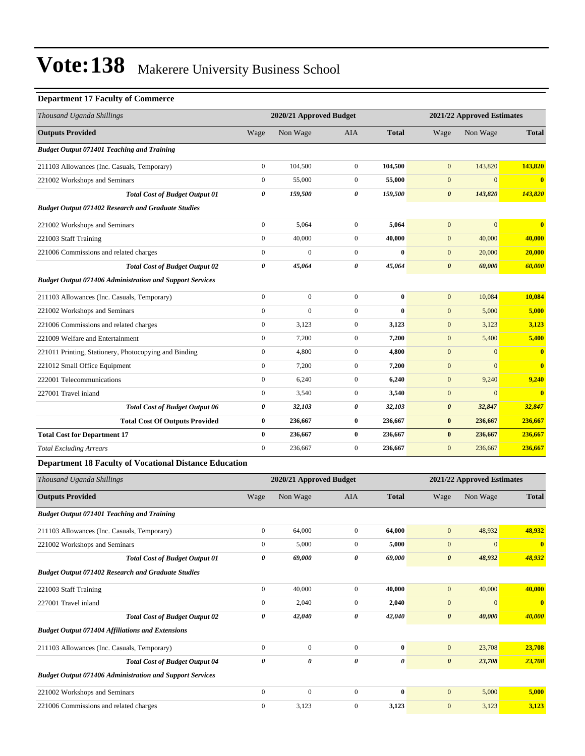### **Department 17 Faculty of Commerce**

| Thousand Uganda Shillings                                       |                       | 2020/21 Approved Budget |                  |              | 2021/22 Approved Estimates |                |                         |
|-----------------------------------------------------------------|-----------------------|-------------------------|------------------|--------------|----------------------------|----------------|-------------------------|
| <b>Outputs Provided</b>                                         | Wage                  | Non Wage                | <b>AIA</b>       | <b>Total</b> | Wage                       | Non Wage       | <b>Total</b>            |
| <b>Budget Output 071401 Teaching and Training</b>               |                       |                         |                  |              |                            |                |                         |
| 211103 Allowances (Inc. Casuals, Temporary)                     | $\boldsymbol{0}$      | 104,500                 | $\mathbf{0}$     | 104,500      | $\mathbf{0}$               | 143,820        | 143,820                 |
| 221002 Workshops and Seminars                                   | $\mathbf{0}$          | 55,000                  | $\mathbf{0}$     | 55,000       | $\mathbf{0}$               | $\overline{0}$ | $\bf{0}$                |
| <b>Total Cost of Budget Output 01</b>                           | 0                     | 159,500                 | 0                | 159,500      | $\boldsymbol{\theta}$      | 143,820        | 143,820                 |
| <b>Budget Output 071402 Research and Graduate Studies</b>       |                       |                         |                  |              |                            |                |                         |
| 221002 Workshops and Seminars                                   | $\boldsymbol{0}$      | 5,064                   | $\overline{0}$   | 5,064        | $\mathbf{0}$               | $\mathbf{0}$   | $\overline{\mathbf{0}}$ |
| 221003 Staff Training                                           | $\mathbf{0}$          | 40,000                  | $\overline{0}$   | 40,000       | $\mathbf{0}$               | 40,000         | 40,000                  |
| 221006 Commissions and related charges                          | $\mathbf{0}$          | $\overline{0}$          | $\overline{0}$   | $\bf{0}$     | $\mathbf{0}$               | 20,000         | 20,000                  |
| <b>Total Cost of Budget Output 02</b>                           | 0                     | 45,064                  | 0                | 45,064       | $\boldsymbol{\theta}$      | 60,000         | 60,000                  |
| <b>Budget Output 071406 Administration and Support Services</b> |                       |                         |                  |              |                            |                |                         |
| 211103 Allowances (Inc. Casuals, Temporary)                     | $\mathbf{0}$          | $\mathbf{0}$            | $\overline{0}$   | $\bf{0}$     | $\mathbf{0}$               | 10,084         | 10,084                  |
| 221002 Workshops and Seminars                                   | $\Omega$              | $\theta$                | $\mathbf{0}$     | $\bf{0}$     | $\mathbf{0}$               | 5,000          | 5,000                   |
| 221006 Commissions and related charges                          | $\mathbf{0}$          | 3,123                   | $\mathbf{0}$     | 3,123        | $\mathbf{0}$               | 3,123          | 3,123                   |
| 221009 Welfare and Entertainment                                | $\mathbf{0}$          | 7,200                   | $\overline{0}$   | 7,200        | $\mathbf{0}$               | 5,400          | 5,400                   |
| 221011 Printing, Stationery, Photocopying and Binding           | $\boldsymbol{0}$      | 4,800                   | $\overline{0}$   | 4,800        | $\mathbf{0}$               | $\mathbf{0}$   | $\overline{\mathbf{0}}$ |
| 221012 Small Office Equipment                                   | $\mathbf{0}$          | 7,200                   | $\overline{0}$   | 7,200        | $\mathbf{0}$               | $\mathbf{0}$   | $\mathbf{0}$            |
| 222001 Telecommunications                                       | $\mathbf{0}$          | 6,240                   | $\mathbf{0}$     | 6,240        | $\mathbf{0}$               | 9,240          | 9,240                   |
| 227001 Travel inland                                            | $\mathbf{0}$          | 3,540                   | $\overline{0}$   | 3,540        | $\mathbf{0}$               | $\overline{0}$ | $\overline{0}$          |
| <b>Total Cost of Budget Output 06</b>                           | $\boldsymbol{\theta}$ | 32,103                  | 0                | 32,103       | $\boldsymbol{\theta}$      | 32,847         | 32,847                  |
| <b>Total Cost Of Outputs Provided</b>                           | $\bf{0}$              | 236,667                 | $\bf{0}$         | 236,667      | $\bf{0}$                   | 236,667        | 236,667                 |
| <b>Total Cost for Department 17</b>                             | $\bf{0}$              | 236,667                 | $\bf{0}$         | 236,667      | $\bf{0}$                   | 236,667        | 236,667                 |
| <b>Total Excluding Arrears</b>                                  | $\mathbf{0}$          | 236,667                 | $\boldsymbol{0}$ | 236,667      | $\mathbf{0}$               | 236,667        | 236,667                 |
| <b>Department 18 Faculty of Vocational Distance Education</b>   |                       |                         |                  |              |                            |                |                         |

| Thousand Uganda Shillings                                       |                  | 2020/21 Approved Budget |                |              |                       | 2021/22 Approved Estimates |                         |  |
|-----------------------------------------------------------------|------------------|-------------------------|----------------|--------------|-----------------------|----------------------------|-------------------------|--|
| <b>Outputs Provided</b>                                         | Wage             | Non Wage                | <b>AIA</b>     | <b>Total</b> | Wage                  | Non Wage                   | <b>Total</b>            |  |
| <b>Budget Output 071401 Teaching and Training</b>               |                  |                         |                |              |                       |                            |                         |  |
| 211103 Allowances (Inc. Casuals, Temporary)                     | $\mathbf{0}$     | 64,000                  | $\overline{0}$ | 64,000       | $\mathbf{0}$          | 48,932                     | 48,932                  |  |
| 221002 Workshops and Seminars                                   | $\mathbf{0}$     | 5,000                   | $\overline{0}$ | 5,000        | $\mathbf{0}$          | $\mathbf{0}$               | $\overline{\mathbf{0}}$ |  |
| <b>Total Cost of Budget Output 01</b>                           | 0                | 69,000                  | 0              | 69,000       | $\boldsymbol{\theta}$ | 48,932                     | 48,932                  |  |
| <b>Budget Output 071402 Research and Graduate Studies</b>       |                  |                         |                |              |                       |                            |                         |  |
| 221003 Staff Training                                           | $\boldsymbol{0}$ | 40,000                  | $\mathbf{0}$   | 40,000       | $\mathbf{0}$          | 40,000                     | 40,000                  |  |
| 227001 Travel inland                                            | $\mathbf{0}$     | 2,040                   | $\mathbf{0}$   | 2,040        | $\mathbf{0}$          | $\mathbf{0}$               | $\mathbf{0}$            |  |
| <b>Total Cost of Budget Output 02</b>                           | 0                | 42,040                  | 0              | 42,040       | $\boldsymbol{\theta}$ | 40,000                     | 40,000                  |  |
| <b>Budget Output 071404 Affiliations and Extensions</b>         |                  |                         |                |              |                       |                            |                         |  |
| 211103 Allowances (Inc. Casuals, Temporary)                     | $\mathbf{0}$     | $\mathbf{0}$            | $\overline{0}$ | $\bf{0}$     | $\mathbf{0}$          | 23,708                     | 23,708                  |  |
| <b>Total Cost of Budget Output 04</b>                           | 0                | 0                       | 0              | 0            | $\boldsymbol{\theta}$ | 23,708                     | 23,708                  |  |
| <b>Budget Output 071406 Administration and Support Services</b> |                  |                         |                |              |                       |                            |                         |  |
| 221002 Workshops and Seminars                                   | $\mathbf{0}$     | $\Omega$                | $\Omega$       | $\bf{0}$     | $\mathbf{0}$          | 5,000                      | 5,000                   |  |
| 221006 Commissions and related charges                          | $\mathbf{0}$     | 3,123                   | $\mathbf{0}$   | 3,123        | $\boldsymbol{0}$      | 3,123                      | 3,123                   |  |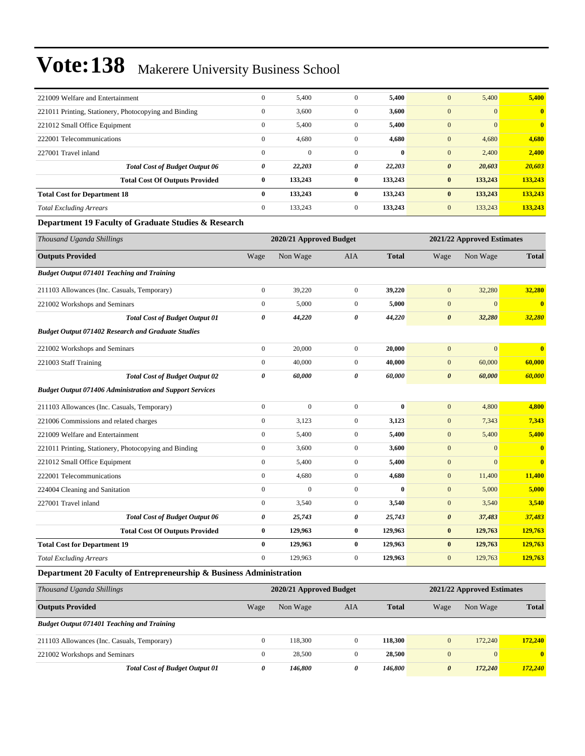| 221009 Welfare and Entertainment                                | $\boldsymbol{0}$        | 5,400            | $\boldsymbol{0}$      | 5,400        | $\mathbf{0}$               | 5,400            | 5,400        |
|-----------------------------------------------------------------|-------------------------|------------------|-----------------------|--------------|----------------------------|------------------|--------------|
| 221011 Printing, Stationery, Photocopying and Binding           | $\boldsymbol{0}$        | 3,600            | $\boldsymbol{0}$      | 3,600        | $\mathbf{0}$               | $\overline{0}$   | $\bf{0}$     |
| 221012 Small Office Equipment                                   | $\boldsymbol{0}$        | 5,400            | $\boldsymbol{0}$      | 5,400        | $\mathbf{0}$               | $\overline{0}$   | $\bf{0}$     |
| 222001 Telecommunications                                       | $\boldsymbol{0}$        | 4,680            | $\boldsymbol{0}$      | 4,680        | $\boldsymbol{0}$           | 4,680            | 4,680        |
| 227001 Travel inland                                            | $\boldsymbol{0}$        | $\boldsymbol{0}$ | $\boldsymbol{0}$      | $\bf{0}$     | $\boldsymbol{0}$           | 2,400            | 2,400        |
| <b>Total Cost of Budget Output 06</b>                           | 0                       | 22,203           | $\pmb{\theta}$        | 22,203       | $\boldsymbol{\theta}$      | 20,603           | 20,603       |
| <b>Total Cost Of Outputs Provided</b>                           | $\bf{0}$                | 133,243          | $\bf{0}$              | 133,243      | $\bf{0}$                   | 133,243          | 133,243      |
| <b>Total Cost for Department 18</b>                             | $\bf{0}$                | 133,243          | $\pmb{0}$             | 133,243      | $\bf{0}$                   | 133,243          | 133,243      |
| <b>Total Excluding Arrears</b>                                  | $\boldsymbol{0}$        | 133,243          | $\boldsymbol{0}$      | 133,243      | $\mathbf{0}$               | 133,243          | 133,243      |
| Department 19 Faculty of Graduate Studies & Research            |                         |                  |                       |              |                            |                  |              |
| Thousand Uganda Shillings                                       | 2020/21 Approved Budget |                  |                       |              | 2021/22 Approved Estimates |                  |              |
| <b>Outputs Provided</b>                                         | Wage                    | Non Wage         | AIA                   | <b>Total</b> | Wage                       | Non Wage         | <b>Total</b> |
| <b>Budget Output 071401 Teaching and Training</b>               |                         |                  |                       |              |                            |                  |              |
| 211103 Allowances (Inc. Casuals, Temporary)                     | $\boldsymbol{0}$        | 39,220           | $\boldsymbol{0}$      | 39,220       | $\mathbf{0}$               | 32,280           | 32,280       |
| 221002 Workshops and Seminars                                   | $\boldsymbol{0}$        | 5,000            | $\boldsymbol{0}$      | 5,000        | $\mathbf{0}$               | $\overline{0}$   | $\bf{0}$     |
| <b>Total Cost of Budget Output 01</b>                           | 0                       | 44,220           | 0                     | 44,220       | $\boldsymbol{\theta}$      | 32,280           | 32,280       |
| <b>Budget Output 071402 Research and Graduate Studies</b>       |                         |                  |                       |              |                            |                  |              |
| 221002 Workshops and Seminars                                   | $\boldsymbol{0}$        | 20,000           | $\boldsymbol{0}$      | 20,000       | $\mathbf{0}$               | $\mathbf{0}$     | $\bf{0}$     |
| 221003 Staff Training                                           | $\boldsymbol{0}$        | 40,000           | $\boldsymbol{0}$      | 40,000       | $\boldsymbol{0}$           | 60,000           | 60,000       |
| <b>Total Cost of Budget Output 02</b>                           | $\theta$                | 60,000           | $\boldsymbol{\theta}$ | 60,000       | $\boldsymbol{\theta}$      | 60,000           | 60,000       |
| <b>Budget Output 071406 Administration and Support Services</b> |                         |                  |                       |              |                            |                  |              |
| 211103 Allowances (Inc. Casuals, Temporary)                     | $\boldsymbol{0}$        | $\boldsymbol{0}$ | $\boldsymbol{0}$      | $\bf{0}$     | $\boldsymbol{0}$           | 4,800            | 4,800        |
| 221006 Commissions and related charges                          | $\boldsymbol{0}$        | 3,123            | $\boldsymbol{0}$      | 3,123        | $\mathbf{0}$               | 7,343            | 7,343        |
| 221009 Welfare and Entertainment                                | $\boldsymbol{0}$        | 5,400            | $\boldsymbol{0}$      | 5,400        | $\boldsymbol{0}$           | 5,400            | 5,400        |
| 221011 Printing, Stationery, Photocopying and Binding           | $\boldsymbol{0}$        | 3,600            | $\boldsymbol{0}$      | 3,600        | $\mathbf{0}$               | $\boldsymbol{0}$ | $\bf{0}$     |
| 221012 Small Office Equipment                                   | $\boldsymbol{0}$        | 5,400            | $\boldsymbol{0}$      | 5,400        | $\boldsymbol{0}$           | $\overline{0}$   | $\bf{0}$     |
| 222001 Telecommunications                                       | $\boldsymbol{0}$        | 4,680            | $\boldsymbol{0}$      | 4,680        | $\mathbf{0}$               | 11,400           | 11,400       |
| 224004 Cleaning and Sanitation                                  | $\overline{0}$          | $\mathbf{0}$     | $\boldsymbol{0}$      | $\bf{0}$     | $\mathbf{0}$               | 5,000            | 5,000        |
| 227001 Travel inland                                            | $\boldsymbol{0}$        | 3,540            | $\boldsymbol{0}$      | 3,540        | $\mathbf{0}$               | 3,540            | 3,540        |
| <b>Total Cost of Budget Output 06</b>                           | 0                       | 25,743           | 0                     | 25,743       | $\boldsymbol{\theta}$      | 37,483           | 37,483       |
| <b>Total Cost Of Outputs Provided</b>                           | $\bf{0}$                | 129,963          | $\bf{0}$              | 129,963      | $\pmb{0}$                  | 129,763          | 129,763      |
| <b>Total Cost for Department 19</b>                             | $\bf{0}$                | 129,963          | $\pmb{0}$             | 129,963      | $\pmb{0}$                  | 129,763          | 129,763      |
| <b>Total Excluding Arrears</b>                                  | $\boldsymbol{0}$        | 129,963          | $\boldsymbol{0}$      | 129,963      | $\mathbf{0}$               | 129,763          | 129,763      |
|                                                                 |                         |                  |                       |              |                            |                  |              |

### **Department 20 Faculty of Entrepreneurship & Business Administration**

| Thousand Uganda Shillings                         | 2020/21 Approved Budget |          |              |              |                       | 2021/22 Approved Estimates |              |  |
|---------------------------------------------------|-------------------------|----------|--------------|--------------|-----------------------|----------------------------|--------------|--|
| <b>Outputs Provided</b>                           | Wage                    | Non Wage | AIA          | <b>Total</b> | Wage                  | Non Wage                   | <b>Total</b> |  |
| <b>Budget Output 071401 Teaching and Training</b> |                         |          |              |              |                       |                            |              |  |
| 211103 Allowances (Inc. Casuals, Temporary)       | $\Omega$                | 118,300  | $\theta$     | 118.300      | $\mathbf{0}$          | 172,240                    | 172,240      |  |
| 221002 Workshops and Seminars                     | $\Omega$                | 28,500   | $\mathbf{0}$ | 28,500       | $\overline{0}$        | $\vert 0 \vert$            | $\bf{0}$     |  |
| <b>Total Cost of Budget Output 01</b>             | 0                       | 146,800  | 0            | 146,800      | $\boldsymbol{\theta}$ | 172,240                    | 172,240      |  |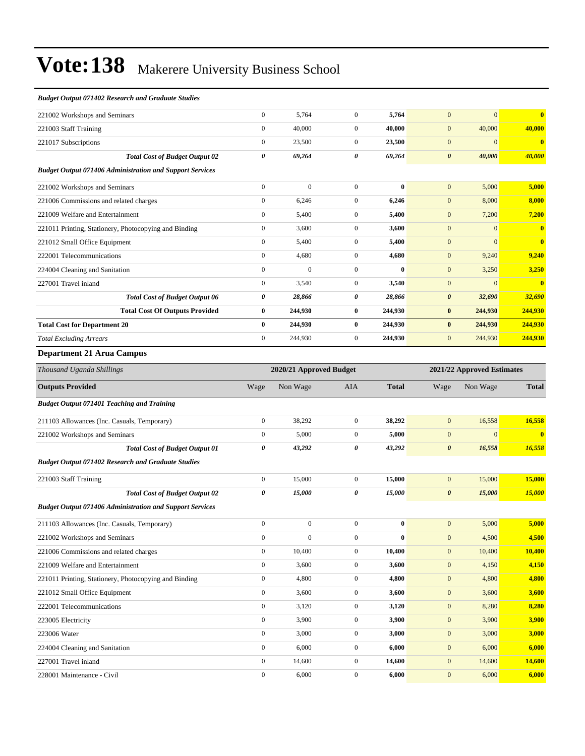#### *Budget Output 071402 Research and Graduate Studies*

| 221002 Workshops and Seminars                                   | $\mathbf{0}$   | 5,764        | $\Omega$       | 5,764        | $\mathbf{0}$          | $\mathbf{0}$ | $\mathbf{0}$            |
|-----------------------------------------------------------------|----------------|--------------|----------------|--------------|-----------------------|--------------|-------------------------|
| 221003 Staff Training                                           | $\overline{0}$ | 40,000       | $\overline{0}$ | 40,000       | $\mathbf{0}$          | 40,000       | 40,000                  |
| 221017 Subscriptions                                            | $\Omega$       | 23,500       | $\Omega$       | 23,500       | $\mathbf{0}$          | $\mathbf{0}$ | $\mathbf{0}$            |
| <b>Total Cost of Budget Output 02</b>                           | 0              | 69,264       | 0              | 69,264       | $\boldsymbol{\theta}$ | 40,000       | 40,000                  |
| <b>Budget Output 071406 Administration and Support Services</b> |                |              |                |              |                       |              |                         |
| 221002 Workshops and Seminars                                   | $\mathbf{0}$   | $\mathbf{0}$ | $\mathbf{0}$   | $\bf{0}$     | $\mathbf{0}$          | 5,000        | 5,000                   |
| 221006 Commissions and related charges                          | $\overline{0}$ | 6,246        | $\overline{0}$ | 6,246        | $\mathbf{0}$          | 8,000        | 8,000                   |
| 221009 Welfare and Entertainment                                | $\overline{0}$ | 5,400        | $\overline{0}$ | 5,400        | $\mathbf{0}$          | 7,200        | 7,200                   |
| 221011 Printing, Stationery, Photocopying and Binding           | $\overline{0}$ | 3,600        | $\overline{0}$ | 3,600        | $\mathbf{0}$          | $\mathbf{0}$ | $\mathbf{0}$            |
| 221012 Small Office Equipment                                   | $\overline{0}$ | 5,400        | $\overline{0}$ | 5,400        | $\mathbf{0}$          | $\mathbf{0}$ | $\overline{\mathbf{0}}$ |
| 222001 Telecommunications                                       | $\overline{0}$ | 4,680        | $\overline{0}$ | 4,680        | $\mathbf{0}$          | 9,240        | 9,240                   |
| 224004 Cleaning and Sanitation                                  | $\Omega$       | $\Omega$     | $\Omega$       | $\mathbf{0}$ | $\mathbf{0}$          | 3,250        | 3,250                   |
| 227001 Travel inland                                            | $\Omega$       | 3,540        | $\Omega$       | 3,540        | $\mathbf{0}$          | $\mathbf{0}$ | $\mathbf{0}$            |
| <b>Total Cost of Budget Output 06</b>                           | 0              | 28,866       | 0              | 28,866       | $\boldsymbol{\theta}$ | 32,690       | 32,690                  |
| <b>Total Cost Of Outputs Provided</b>                           | $\bf{0}$       | 244,930      | $\bf{0}$       | 244,930      | $\bf{0}$              | 244,930      | 244,930                 |
| <b>Total Cost for Department 20</b>                             | $\bf{0}$       | 244,930      | $\mathbf{0}$   | 244,930      | $\bf{0}$              | 244,930      | 244,930                 |
| <b>Total Excluding Arrears</b>                                  | $\overline{0}$ | 244,930      | $\overline{0}$ | 244,930      | $\mathbf{0}$          | 244,930      | 244,930                 |
| <b>Department 21 Arua Campus</b>                                |                |              |                |              |                       |              |                         |

### *Thousand Uganda Shillings* **2020/21 Approved Budget 2021/22 Approved Estimates Outputs Provided** Wage Non Wage AIA **Total** Wage Non Wage **Total** *Budget Output 071401 Teaching and Training* 211103 Allowances (Inc. Casuals, Temporary) 0 38,292 0 **38,292** 0 16,558 **16,558** 221002 Workshops and Seminars 0 5,000 0 **5,000** 0 0 **0** *Total Cost of Budget Output 01 0 43,292 0 43,292 0 16,558 16,558 Budget Output 071402 Research and Graduate Studies* 221003 Staff Training 0 15,000 0 **15,000** 0 15,000 **15,000** *Total Cost of Budget Output 02 0 15,000 0 15,000 0 15,000 15,000 Budget Output 071406 Administration and Support Services* 211103 Allowances (Inc. Casuals, Temporary) 0 0 0 **0** 0 5,000 **5,000** 221002 Workshops and Seminars 0 0 0 **0** 0 4,500 **4,500** 221006 Commissions and related charges 0 10,400 0 **10,400** 0 10,400 **10,400** 221009 Welfare and Entertainment 0 3,600 0 **3,600** 0 4,150 **4,150** 221011 Printing, Stationery, Photocopying and Binding 0 4,800 0 **4,800** 0 4,800 **4,800** 221012 Small Office Equipment 0 3,600 0 **3,600** 0 3,600 **3,600** 222001 Telecommunications 0 3,120 0 **3,120** 0 8,280 **8,280** 223005 Electricity 0 3,900 0 **3,900** 0 3,900 **3,900** 223006 Water 0 3,000 0 **3,000** 0 3,000 **3,000** 224004 Cleaning and Sanitation 0 6,000 0 **6,000** 0 6,000 **6,000** 227001 Travel inland 0 14,600 0 **14,600** 0 14,600 **14,600** 228001 Maintenance - Civil 0 6,000 0 **6,000** 0 6,000 **6,000**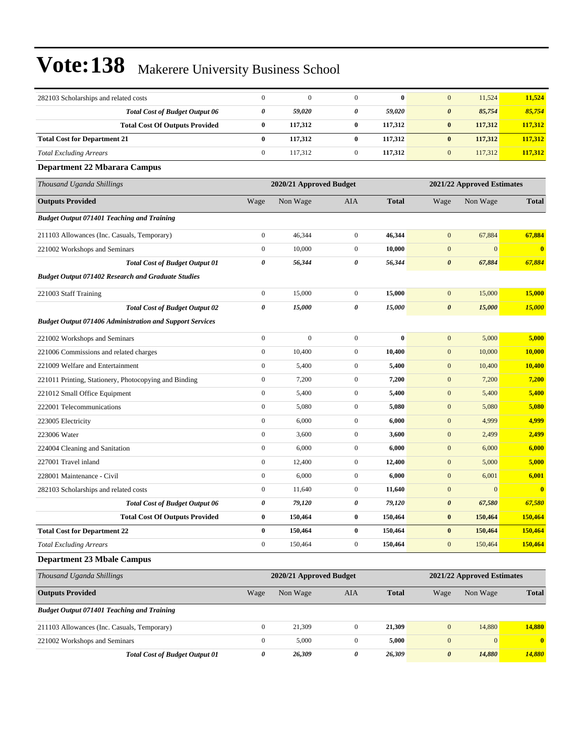| 282103 Scholarships and related costs                           | $\boldsymbol{0}$ | $\mathbf{0}$            | $\mathbf{0}$     | $\bf{0}$     | $\boldsymbol{0}$      | 11,524                     | 11,524       |
|-----------------------------------------------------------------|------------------|-------------------------|------------------|--------------|-----------------------|----------------------------|--------------|
| <b>Total Cost of Budget Output 06</b>                           | 0                | 59,020                  | 0                | 59,020       | $\boldsymbol{\theta}$ | 85,754                     | 85,754       |
| <b>Total Cost Of Outputs Provided</b>                           | $\bf{0}$         | 117,312                 | $\bf{0}$         | 117,312      | $\pmb{0}$             | 117,312                    | 117,312      |
| <b>Total Cost for Department 21</b>                             | $\bf{0}$         | 117,312                 | $\bf{0}$         | 117,312      | $\bf{0}$              | 117,312                    | 117,312      |
| <b>Total Excluding Arrears</b>                                  | $\boldsymbol{0}$ | 117,312                 | $\mathbf{0}$     | 117,312      | $\mathbf{0}$          | 117,312                    | 117,312      |
| <b>Department 22 Mbarara Campus</b>                             |                  |                         |                  |              |                       |                            |              |
| Thousand Uganda Shillings                                       |                  | 2020/21 Approved Budget |                  |              |                       | 2021/22 Approved Estimates |              |
| <b>Outputs Provided</b>                                         | Wage             | Non Wage                | AIA              | <b>Total</b> | Wage                  | Non Wage                   | <b>Total</b> |
| <b>Budget Output 071401 Teaching and Training</b>               |                  |                         |                  |              |                       |                            |              |
| 211103 Allowances (Inc. Casuals, Temporary)                     | $\boldsymbol{0}$ | 46,344                  | $\mathbf{0}$     | 46,344       | $\mathbf{0}$          | 67,884                     | 67,884       |
| 221002 Workshops and Seminars                                   | $\boldsymbol{0}$ | 10,000                  | $\mathbf{0}$     | 10,000       | $\boldsymbol{0}$      | $\mathbf{0}$               | $\bf{0}$     |
| <b>Total Cost of Budget Output 01</b>                           | 0                | 56,344                  | 0                | 56,344       | 0                     | 67,884                     | 67,884       |
| <b>Budget Output 071402 Research and Graduate Studies</b>       |                  |                         |                  |              |                       |                            |              |
| 221003 Staff Training                                           | $\boldsymbol{0}$ | 15,000                  | $\mathbf{0}$     | 15,000       | $\boldsymbol{0}$      | 15,000                     | 15,000       |
| <b>Total Cost of Budget Output 02</b>                           | 0                | 15,000                  | 0                | 15,000       | $\pmb{\theta}$        | 15,000                     | 15,000       |
| <b>Budget Output 071406 Administration and Support Services</b> |                  |                         |                  |              |                       |                            |              |
| 221002 Workshops and Seminars                                   | $\boldsymbol{0}$ | $\boldsymbol{0}$        | $\mathbf{0}$     | $\bf{0}$     | $\mathbf{0}$          | 5,000                      | 5,000        |
| 221006 Commissions and related charges                          | $\boldsymbol{0}$ | 10,400                  | $\mathbf{0}$     | 10,400       | $\mathbf{0}$          | 10,000                     | 10,000       |
| 221009 Welfare and Entertainment                                | $\boldsymbol{0}$ | 5,400                   | $\boldsymbol{0}$ | 5,400        | $\boldsymbol{0}$      | 10,400                     | 10,400       |
| 221011 Printing, Stationery, Photocopying and Binding           | $\boldsymbol{0}$ | 7,200                   | $\mathbf{0}$     | 7,200        | $\mathbf{0}$          | 7,200                      | 7,200        |
| 221012 Small Office Equipment                                   | $\boldsymbol{0}$ | 5,400                   | $\mathbf{0}$     | 5,400        | $\mathbf{0}$          | 5,400                      | 5,400        |
| 222001 Telecommunications                                       | $\boldsymbol{0}$ | 5,080                   | $\mathbf{0}$     | 5,080        | $\boldsymbol{0}$      | 5,080                      | 5,080        |
| 223005 Electricity                                              | $\boldsymbol{0}$ | 6,000                   | $\mathbf{0}$     | 6,000        | $\mathbf{0}$          | 4,999                      | 4,999        |
| 223006 Water                                                    | $\boldsymbol{0}$ | 3,600                   | $\boldsymbol{0}$ | 3,600        | $\boldsymbol{0}$      | 2,499                      | 2,499        |
| 224004 Cleaning and Sanitation                                  | $\boldsymbol{0}$ | 6,000                   | $\mathbf{0}$     | 6,000        | $\mathbf{0}$          | 6,000                      | 6,000        |
| 227001 Travel inland                                            | $\boldsymbol{0}$ | 12,400                  | $\mathbf{0}$     | 12,400       | $\mathbf{0}$          | 5,000                      | 5,000        |
| 228001 Maintenance - Civil                                      | $\boldsymbol{0}$ | 6,000                   | $\mathbf{0}$     | 6,000        | $\mathbf{0}$          | 6,001                      | 6,001        |
| 282103 Scholarships and related costs                           | $\boldsymbol{0}$ | 11,640                  | $\mathbf{0}$     | 11,640       | $\boldsymbol{0}$      | $\mathbf{0}$               | $\mathbf{0}$ |
| <b>Total Cost of Budget Output 06</b>                           | 0                | 79,120                  | 0                | 79,120       | $\boldsymbol{\theta}$ | 67,580                     | 67,580       |
| <b>Total Cost Of Outputs Provided</b>                           | $\bf{0}$         | 150,464                 | 0                | 150,464      | $\bf{0}$              | 150,464                    | 150,464      |
| <b>Total Cost for Department 22</b>                             | $\bf{0}$         | 150,464                 | $\bf{0}$         | 150,464      | $\bf{0}$              | 150,464                    | 150,464      |
| <b>Total Excluding Arrears</b>                                  | $\boldsymbol{0}$ | 150,464                 | $\boldsymbol{0}$ | 150,464      | $\boldsymbol{0}$      | 150,464                    | 150,464      |
| <b>Department 23 Mbale Campus</b>                               |                  |                         |                  |              |                       |                            |              |
| Thousand Uganda Shillings                                       |                  | 2020/21 Approved Budget |                  |              |                       | 2021/22 Approved Estimates |              |
| <b>Outputs Provided</b>                                         | Wage             | Non Wage                | AIA              | <b>Total</b> | Wage                  | Non Wage                   | <b>Total</b> |
| <b>Budget Output 071401 Teaching and Training</b>               |                  |                         |                  |              |                       |                            |              |
| 211103 Allowances (Inc. Casuals, Temporary)                     | $\boldsymbol{0}$ | 21,309                  | $\mathbf{0}$     | 21,309       | $\boldsymbol{0}$      | 14,880                     | 14,880       |
| 221002 Workshops and Seminars                                   | $\boldsymbol{0}$ | 5,000                   | $\boldsymbol{0}$ | 5,000        | $\boldsymbol{0}$      | $\mathbf{0}$               | $\bf{0}$     |
| <b>Total Cost of Budget Output 01</b>                           | 0                | 26,309                  | 0                | 26,309       | $\pmb{\theta}$        | 14,880                     | 14,880       |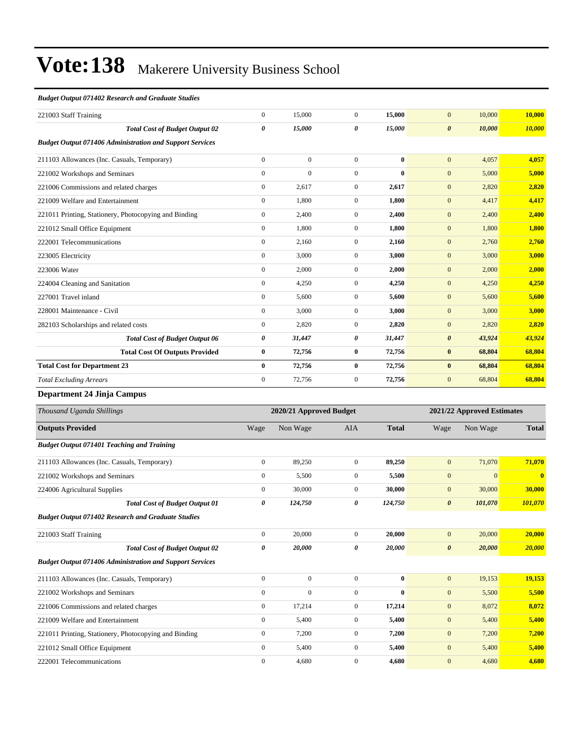#### *Budget Output 071402 Research and Graduate Studies*

| 221003 Staff Training                                           | $\overline{0}$        | 15,000                  | $\overline{0}$   | 15,000       | $\mathbf{0}$          | 10,000                     | 10,000                  |
|-----------------------------------------------------------------|-----------------------|-------------------------|------------------|--------------|-----------------------|----------------------------|-------------------------|
| <b>Total Cost of Budget Output 02</b>                           | $\boldsymbol{\theta}$ | 15,000                  | 0                | 15,000       | $\boldsymbol{\theta}$ | 10,000                     | 10,000                  |
| <b>Budget Output 071406 Administration and Support Services</b> |                       |                         |                  |              |                       |                            |                         |
| 211103 Allowances (Inc. Casuals, Temporary)                     | $\mathbf{0}$          | $\overline{0}$          | $\overline{0}$   | $\bf{0}$     | $\mathbf{0}$          | 4,057                      | 4,057                   |
| 221002 Workshops and Seminars                                   | $\mathbf{0}$          | $\overline{0}$          | $\overline{0}$   | $\bf{0}$     | $\mathbf{0}$          | 5,000                      | 5,000                   |
| 221006 Commissions and related charges                          | $\mathbf{0}$          | 2,617                   | $\overline{0}$   | 2,617        | $\mathbf{0}$          | 2,820                      | 2,820                   |
| 221009 Welfare and Entertainment                                | $\mathbf{0}$          | 1,800                   | $\overline{0}$   | 1,800        | $\mathbf{0}$          | 4,417                      | 4,417                   |
| 221011 Printing, Stationery, Photocopying and Binding           | $\mathbf{0}$          | 2,400                   | $\overline{0}$   | 2,400        | $\mathbf{0}$          | 2,400                      | 2,400                   |
| 221012 Small Office Equipment                                   | $\mathbf{0}$          | 1,800                   | $\mathbf{0}$     | 1,800        | $\mathbf{0}$          | 1,800                      | 1,800                   |
| 222001 Telecommunications                                       | $\mathbf{0}$          | 2,160                   | $\overline{0}$   | 2,160        | $\mathbf{0}$          | 2,760                      | 2,760                   |
| 223005 Electricity                                              | $\mathbf{0}$          | 3,000                   | $\overline{0}$   | 3,000        | $\mathbf{0}$          | 3,000                      | 3,000                   |
| 223006 Water                                                    | $\mathbf{0}$          | 2,000                   | $\overline{0}$   | 2,000        | $\mathbf{0}$          | 2,000                      | 2,000                   |
| 224004 Cleaning and Sanitation                                  | $\mathbf{0}$          | 4,250                   | $\overline{0}$   | 4,250        | $\mathbf{0}$          | 4,250                      | 4,250                   |
| 227001 Travel inland                                            | $\mathbf{0}$          | 5,600                   | $\mathbf{0}$     | 5,600        | $\mathbf{0}$          | 5,600                      | 5,600                   |
| 228001 Maintenance - Civil                                      | $\overline{0}$        | 3,000                   | $\overline{0}$   | 3,000        | $\mathbf{0}$          | 3,000                      | 3,000                   |
| 282103 Scholarships and related costs                           | $\mathbf{0}$          | 2,820                   | $\overline{0}$   | 2,820        | $\mathbf{0}$          | 2,820                      | 2,820                   |
| <b>Total Cost of Budget Output 06</b>                           | $\boldsymbol{\theta}$ | 31,447                  | 0                | 31,447       | $\boldsymbol{\theta}$ | 43,924                     | 43,924                  |
| <b>Total Cost Of Outputs Provided</b>                           | $\bf{0}$              | 72,756                  | $\bf{0}$         | 72,756       | $\bf{0}$              | 68,804                     | 68,804                  |
| <b>Total Cost for Department 23</b>                             | $\bf{0}$              | 72,756                  | $\bf{0}$         | 72,756       | $\bf{0}$              | 68,804                     | 68,804                  |
| <b>Total Excluding Arrears</b>                                  | $\mathbf{0}$          | 72,756                  | $\overline{0}$   | 72,756       | $\mathbf{0}$          | 68,804                     | 68,804                  |
| Department 24 Jinja Campus                                      |                       |                         |                  |              |                       |                            |                         |
| Thousand Uganda Shillings                                       |                       | 2020/21 Approved Budget |                  |              |                       | 2021/22 Approved Estimates |                         |
| <b>Outputs Provided</b>                                         | Wage                  | Non Wage                | AIA              | <b>Total</b> | Wage                  | Non Wage                   | <b>Total</b>            |
| <b>Budget Output 071401 Teaching and Training</b>               |                       |                         |                  |              |                       |                            |                         |
| 211103 Allowances (Inc. Casuals, Temporary)                     | $\mathbf{0}$          | 89,250                  | $\overline{0}$   | 89,250       | $\mathbf{0}$          | 71,070                     | 71,070                  |
| 221002 Workshops and Seminars                                   | $\mathbf{0}$          | 5,500                   | $\mathbf{0}$     | 5,500        | $\mathbf{0}$          | $\overline{0}$             | $\overline{\mathbf{0}}$ |
| 224006 Agricultural Supplies                                    | $\overline{0}$        | 30,000                  | $\overline{0}$   | 30,000       | $\mathbf{0}$          | 30,000                     | 30,000                  |
| <b>Total Cost of Budget Output 01</b>                           | 0                     | 124,750                 | 0                | 124,750      | $\boldsymbol{\theta}$ | 101,070                    | 101,070                 |
| <b>Budget Output 071402 Research and Graduate Studies</b>       |                       |                         |                  |              |                       |                            |                         |
| 221003 Staff Training                                           | $\boldsymbol{0}$      | 20,000                  | $\boldsymbol{0}$ | 20,000       | $\boldsymbol{0}$      | 20,000                     | 20,000                  |
| <b>Total Cost of Budget Output 02</b>                           | 0                     | 20,000                  | 0                | 20,000       | $\boldsymbol{\theta}$ | 20,000                     | 20,000                  |
| <b>Budget Output 071406 Administration and Support Services</b> |                       |                         |                  |              |                       |                            |                         |
| 211103 Allowances (Inc. Casuals, Temporary)                     | $\boldsymbol{0}$      | $\boldsymbol{0}$        | $\boldsymbol{0}$ | $\bf{0}$     | $\mathbf{0}$          | 19,153                     | 19,153                  |
| 221002 Workshops and Seminars                                   | $\boldsymbol{0}$      | $\boldsymbol{0}$        | $\boldsymbol{0}$ | $\bf{0}$     | $\mathbf{0}$          | 5,500                      | 5,500                   |
| 221006 Commissions and related charges                          | $\boldsymbol{0}$      | 17,214                  | $\boldsymbol{0}$ | 17,214       | $\mathbf{0}$          | 8,072                      | 8,072                   |
| 221009 Welfare and Entertainment                                | $\boldsymbol{0}$      | 5,400                   | $\boldsymbol{0}$ | 5,400        | $\mathbf{0}$          | 5,400                      | 5,400                   |
| 221011 Printing, Stationery, Photocopying and Binding           | $\mathbf{0}$          | 7,200                   | $\boldsymbol{0}$ | 7,200        | $\mathbf{0}$          | 7,200                      | 7,200                   |
| 221012 Small Office Equipment                                   | $\boldsymbol{0}$      | 5,400                   | $\boldsymbol{0}$ | 5,400        | $\mathbf{0}$          | 5,400                      | 5,400                   |

222001 Telecommunications 0 4,680 0 **4,680** 0 4,680 **4,680**